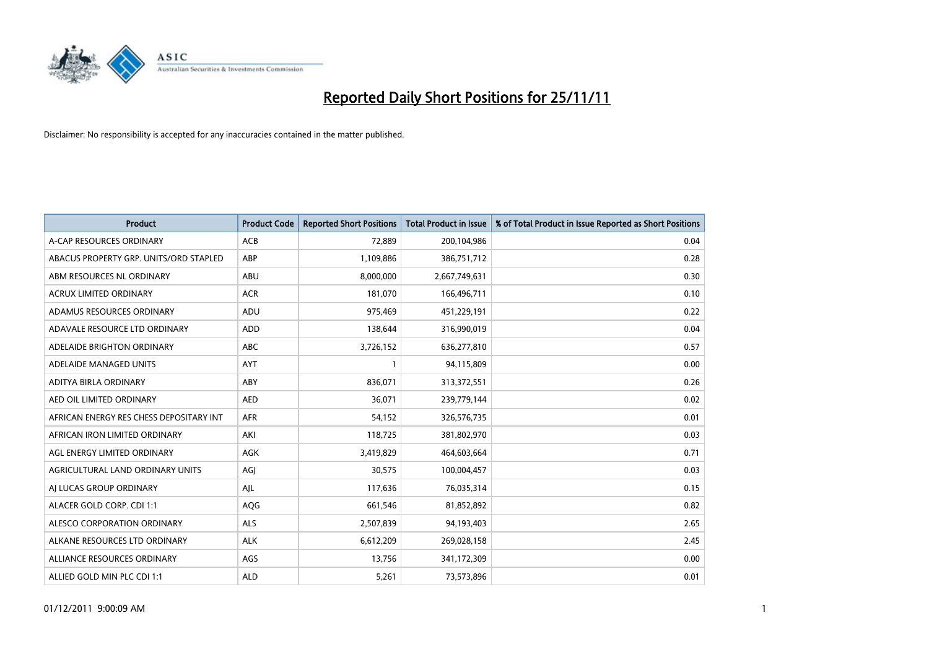

| <b>Product</b>                          | <b>Product Code</b> | <b>Reported Short Positions</b> | <b>Total Product in Issue</b> | % of Total Product in Issue Reported as Short Positions |
|-----------------------------------------|---------------------|---------------------------------|-------------------------------|---------------------------------------------------------|
| A-CAP RESOURCES ORDINARY                | <b>ACB</b>          | 72,889                          | 200,104,986                   | 0.04                                                    |
| ABACUS PROPERTY GRP. UNITS/ORD STAPLED  | <b>ABP</b>          | 1,109,886                       | 386,751,712                   | 0.28                                                    |
| ABM RESOURCES NL ORDINARY               | <b>ABU</b>          | 8,000,000                       | 2,667,749,631                 | 0.30                                                    |
| ACRUX LIMITED ORDINARY                  | <b>ACR</b>          | 181,070                         | 166,496,711                   | 0.10                                                    |
| ADAMUS RESOURCES ORDINARY               | ADU                 | 975,469                         | 451,229,191                   | 0.22                                                    |
| ADAVALE RESOURCE LTD ORDINARY           | ADD                 | 138,644                         | 316,990,019                   | 0.04                                                    |
| ADELAIDE BRIGHTON ORDINARY              | <b>ABC</b>          | 3,726,152                       | 636,277,810                   | 0.57                                                    |
| ADELAIDE MANAGED UNITS                  | <b>AYT</b>          |                                 | 94,115,809                    | 0.00                                                    |
| ADITYA BIRLA ORDINARY                   | ABY                 | 836,071                         | 313,372,551                   | 0.26                                                    |
| AED OIL LIMITED ORDINARY                | <b>AED</b>          | 36,071                          | 239,779,144                   | 0.02                                                    |
| AFRICAN ENERGY RES CHESS DEPOSITARY INT | <b>AFR</b>          | 54,152                          | 326,576,735                   | 0.01                                                    |
| AFRICAN IRON LIMITED ORDINARY           | AKI                 | 118,725                         | 381,802,970                   | 0.03                                                    |
| AGL ENERGY LIMITED ORDINARY             | <b>AGK</b>          | 3,419,829                       | 464,603,664                   | 0.71                                                    |
| AGRICULTURAL LAND ORDINARY UNITS        | AGI                 | 30,575                          | 100,004,457                   | 0.03                                                    |
| AI LUCAS GROUP ORDINARY                 | AJL                 | 117,636                         | 76,035,314                    | 0.15                                                    |
| ALACER GOLD CORP. CDI 1:1               | AQG                 | 661,546                         | 81,852,892                    | 0.82                                                    |
| ALESCO CORPORATION ORDINARY             | <b>ALS</b>          | 2,507,839                       | 94,193,403                    | 2.65                                                    |
| ALKANE RESOURCES LTD ORDINARY           | <b>ALK</b>          | 6,612,209                       | 269,028,158                   | 2.45                                                    |
| ALLIANCE RESOURCES ORDINARY             | AGS                 | 13,756                          | 341,172,309                   | 0.00                                                    |
| ALLIED GOLD MIN PLC CDI 1:1             | <b>ALD</b>          | 5,261                           | 73,573,896                    | 0.01                                                    |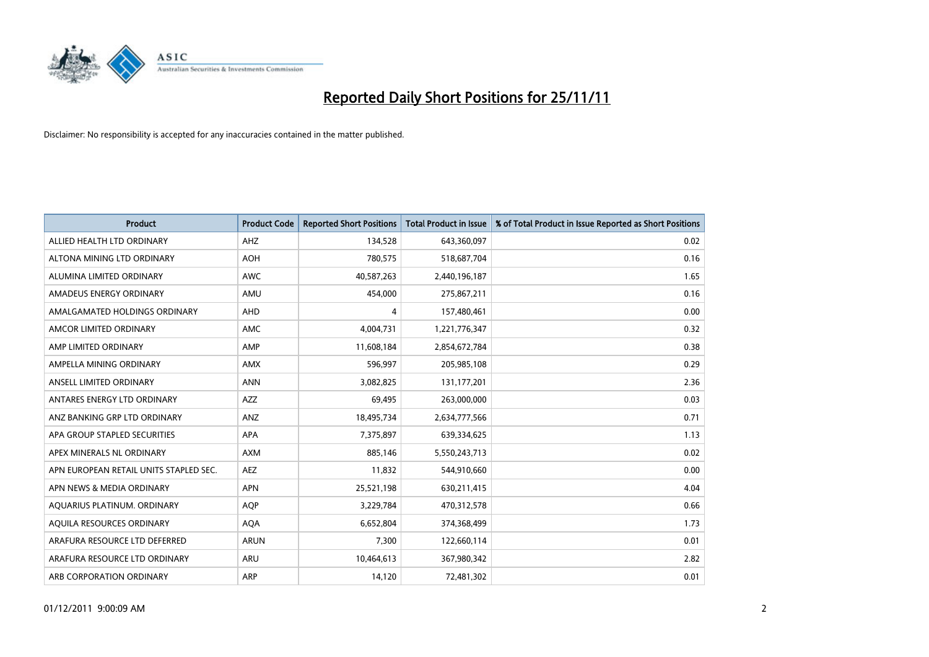

| <b>Product</b>                         | <b>Product Code</b> | <b>Reported Short Positions</b> | Total Product in Issue | % of Total Product in Issue Reported as Short Positions |
|----------------------------------------|---------------------|---------------------------------|------------------------|---------------------------------------------------------|
| ALLIED HEALTH LTD ORDINARY             | AHZ                 | 134.528                         | 643,360,097            | 0.02                                                    |
| ALTONA MINING LTD ORDINARY             | <b>AOH</b>          | 780,575                         | 518,687,704            | 0.16                                                    |
| ALUMINA LIMITED ORDINARY               | <b>AWC</b>          | 40,587,263                      | 2,440,196,187          | 1.65                                                    |
| AMADEUS ENERGY ORDINARY                | AMU                 | 454,000                         | 275,867,211            | 0.16                                                    |
| AMALGAMATED HOLDINGS ORDINARY          | AHD                 | 4                               | 157,480,461            | 0.00                                                    |
| AMCOR LIMITED ORDINARY                 | <b>AMC</b>          | 4,004,731                       | 1,221,776,347          | 0.32                                                    |
| AMP LIMITED ORDINARY                   | AMP                 | 11,608,184                      | 2,854,672,784          | 0.38                                                    |
| AMPELLA MINING ORDINARY                | <b>AMX</b>          | 596,997                         | 205,985,108            | 0.29                                                    |
| ANSELL LIMITED ORDINARY                | <b>ANN</b>          | 3,082,825                       | 131, 177, 201          | 2.36                                                    |
| ANTARES ENERGY LTD ORDINARY            | <b>AZZ</b>          | 69.495                          | 263,000,000            | 0.03                                                    |
| ANZ BANKING GRP LTD ORDINARY           | ANZ                 | 18,495,734                      | 2,634,777,566          | 0.71                                                    |
| APA GROUP STAPLED SECURITIES           | <b>APA</b>          | 7,375,897                       | 639,334,625            | 1.13                                                    |
| APEX MINERALS NL ORDINARY              | <b>AXM</b>          | 885.146                         | 5,550,243,713          | 0.02                                                    |
| APN EUROPEAN RETAIL UNITS STAPLED SEC. | <b>AEZ</b>          | 11,832                          | 544,910,660            | 0.00                                                    |
| APN NEWS & MEDIA ORDINARY              | <b>APN</b>          | 25,521,198                      | 630,211,415            | 4.04                                                    |
| AQUARIUS PLATINUM. ORDINARY            | <b>AQP</b>          | 3,229,784                       | 470,312,578            | 0.66                                                    |
| AQUILA RESOURCES ORDINARY              | <b>AQA</b>          | 6,652,804                       | 374,368,499            | 1.73                                                    |
| ARAFURA RESOURCE LTD DEFERRED          | <b>ARUN</b>         | 7,300                           | 122,660,114            | 0.01                                                    |
| ARAFURA RESOURCE LTD ORDINARY          | ARU                 | 10,464,613                      | 367,980,342            | 2.82                                                    |
| ARB CORPORATION ORDINARY               | ARP                 | 14,120                          | 72,481,302             | 0.01                                                    |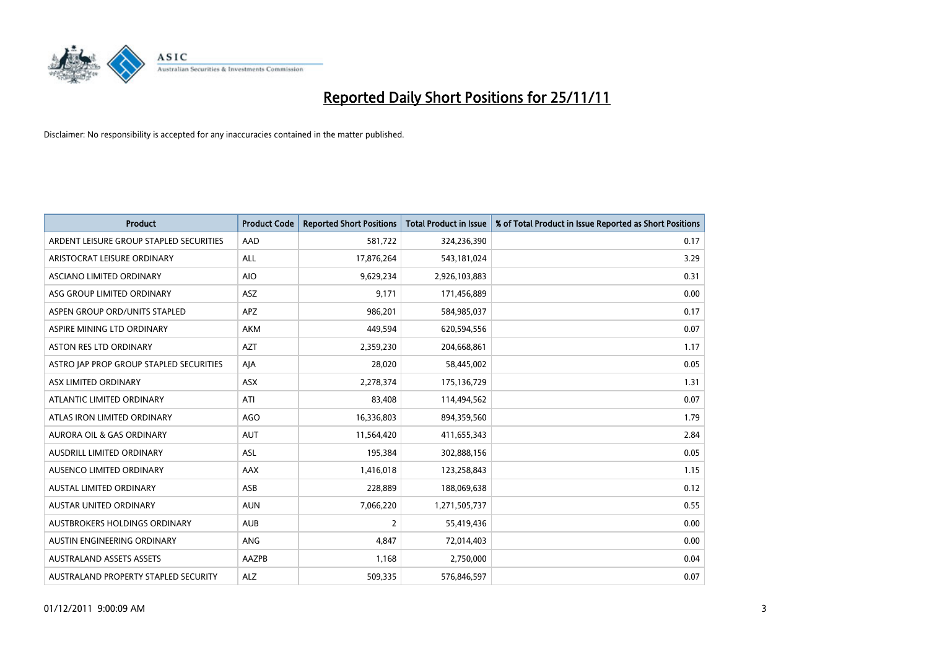

| <b>Product</b>                          | <b>Product Code</b> | <b>Reported Short Positions</b> | <b>Total Product in Issue</b> | % of Total Product in Issue Reported as Short Positions |
|-----------------------------------------|---------------------|---------------------------------|-------------------------------|---------------------------------------------------------|
| ARDENT LEISURE GROUP STAPLED SECURITIES | AAD                 | 581,722                         | 324,236,390                   | 0.17                                                    |
| ARISTOCRAT LEISURE ORDINARY             | ALL                 | 17,876,264                      | 543,181,024                   | 3.29                                                    |
| <b>ASCIANO LIMITED ORDINARY</b>         | <b>AIO</b>          | 9,629,234                       | 2,926,103,883                 | 0.31                                                    |
| ASG GROUP LIMITED ORDINARY              | <b>ASZ</b>          | 9,171                           | 171,456,889                   | 0.00                                                    |
| ASPEN GROUP ORD/UNITS STAPLED           | <b>APZ</b>          | 986,201                         | 584,985,037                   | 0.17                                                    |
| ASPIRE MINING LTD ORDINARY              | <b>AKM</b>          | 449,594                         | 620,594,556                   | 0.07                                                    |
| <b>ASTON RES LTD ORDINARY</b>           | <b>AZT</b>          | 2,359,230                       | 204,668,861                   | 1.17                                                    |
| ASTRO JAP PROP GROUP STAPLED SECURITIES | AJA                 | 28,020                          | 58,445,002                    | 0.05                                                    |
| ASX LIMITED ORDINARY                    | ASX                 | 2,278,374                       | 175,136,729                   | 1.31                                                    |
| ATLANTIC LIMITED ORDINARY               | ATI                 | 83,408                          | 114,494,562                   | 0.07                                                    |
| ATLAS IRON LIMITED ORDINARY             | AGO                 | 16,336,803                      | 894,359,560                   | 1.79                                                    |
| <b>AURORA OIL &amp; GAS ORDINARY</b>    | <b>AUT</b>          | 11,564,420                      | 411,655,343                   | 2.84                                                    |
| AUSDRILL LIMITED ORDINARY               | <b>ASL</b>          | 195,384                         | 302,888,156                   | 0.05                                                    |
| AUSENCO LIMITED ORDINARY                | AAX                 | 1,416,018                       | 123,258,843                   | 1.15                                                    |
| <b>AUSTAL LIMITED ORDINARY</b>          | ASB                 | 228,889                         | 188,069,638                   | 0.12                                                    |
| AUSTAR UNITED ORDINARY                  | <b>AUN</b>          | 7,066,220                       | 1,271,505,737                 | 0.55                                                    |
| <b>AUSTBROKERS HOLDINGS ORDINARY</b>    | <b>AUB</b>          | 2                               | 55,419,436                    | 0.00                                                    |
| AUSTIN ENGINEERING ORDINARY             | ANG                 | 4,847                           | 72,014,403                    | 0.00                                                    |
| <b>AUSTRALAND ASSETS ASSETS</b>         | AAZPB               | 1,168                           | 2,750,000                     | 0.04                                                    |
| AUSTRALAND PROPERTY STAPLED SECURITY    | <b>ALZ</b>          | 509,335                         | 576,846,597                   | 0.07                                                    |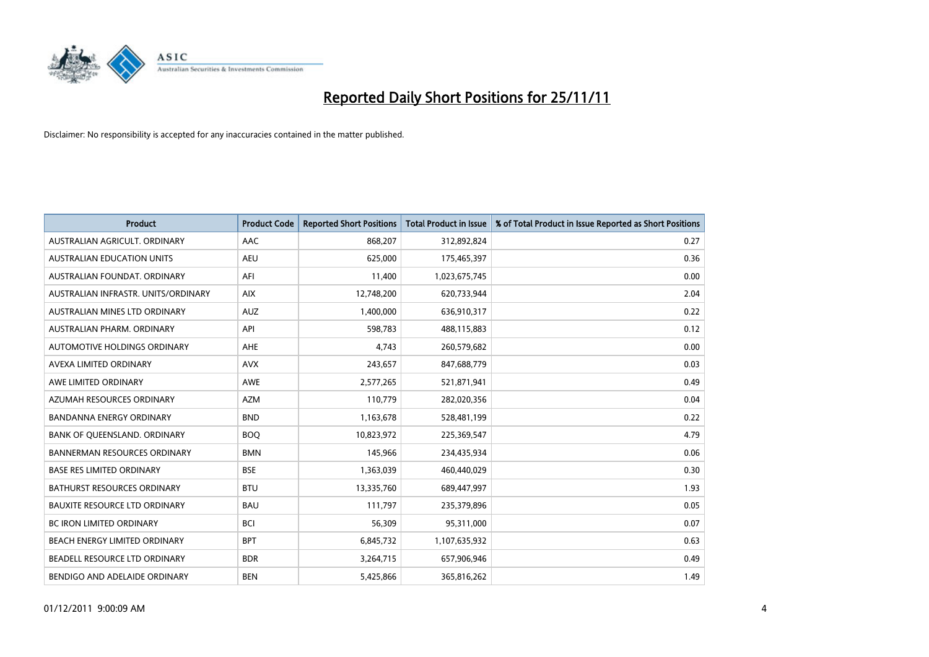

| <b>Product</b>                       | <b>Product Code</b> | <b>Reported Short Positions</b> | <b>Total Product in Issue</b> | % of Total Product in Issue Reported as Short Positions |
|--------------------------------------|---------------------|---------------------------------|-------------------------------|---------------------------------------------------------|
| AUSTRALIAN AGRICULT, ORDINARY        | AAC                 | 868,207                         | 312,892,824                   | 0.27                                                    |
| AUSTRALIAN EDUCATION UNITS           | <b>AEU</b>          | 625,000                         | 175,465,397                   | 0.36                                                    |
| AUSTRALIAN FOUNDAT, ORDINARY         | AFI                 | 11,400                          | 1,023,675,745                 | 0.00                                                    |
| AUSTRALIAN INFRASTR. UNITS/ORDINARY  | <b>AIX</b>          | 12,748,200                      | 620,733,944                   | 2.04                                                    |
| AUSTRALIAN MINES LTD ORDINARY        | <b>AUZ</b>          | 1,400,000                       | 636,910,317                   | 0.22                                                    |
| AUSTRALIAN PHARM, ORDINARY           | API                 | 598,783                         | 488,115,883                   | 0.12                                                    |
| AUTOMOTIVE HOLDINGS ORDINARY         | <b>AHE</b>          | 4.743                           | 260,579,682                   | 0.00                                                    |
| AVEXA LIMITED ORDINARY               | <b>AVX</b>          | 243,657                         | 847,688,779                   | 0.03                                                    |
| AWE LIMITED ORDINARY                 | <b>AWE</b>          | 2,577,265                       | 521,871,941                   | 0.49                                                    |
| AZUMAH RESOURCES ORDINARY            | <b>AZM</b>          | 110,779                         | 282,020,356                   | 0.04                                                    |
| <b>BANDANNA ENERGY ORDINARY</b>      | <b>BND</b>          | 1,163,678                       | 528,481,199                   | 0.22                                                    |
| BANK OF QUEENSLAND. ORDINARY         | <b>BOQ</b>          | 10,823,972                      | 225,369,547                   | 4.79                                                    |
| <b>BANNERMAN RESOURCES ORDINARY</b>  | <b>BMN</b>          | 145,966                         | 234,435,934                   | 0.06                                                    |
| <b>BASE RES LIMITED ORDINARY</b>     | <b>BSE</b>          | 1,363,039                       | 460,440,029                   | 0.30                                                    |
| <b>BATHURST RESOURCES ORDINARY</b>   | <b>BTU</b>          | 13,335,760                      | 689,447,997                   | 1.93                                                    |
| <b>BAUXITE RESOURCE LTD ORDINARY</b> | <b>BAU</b>          | 111,797                         | 235,379,896                   | 0.05                                                    |
| <b>BC IRON LIMITED ORDINARY</b>      | <b>BCI</b>          | 56,309                          | 95,311,000                    | 0.07                                                    |
| <b>BEACH ENERGY LIMITED ORDINARY</b> | <b>BPT</b>          | 6,845,732                       | 1,107,635,932                 | 0.63                                                    |
| BEADELL RESOURCE LTD ORDINARY        | <b>BDR</b>          | 3,264,715                       | 657,906,946                   | 0.49                                                    |
| BENDIGO AND ADELAIDE ORDINARY        | <b>BEN</b>          | 5.425.866                       | 365,816,262                   | 1.49                                                    |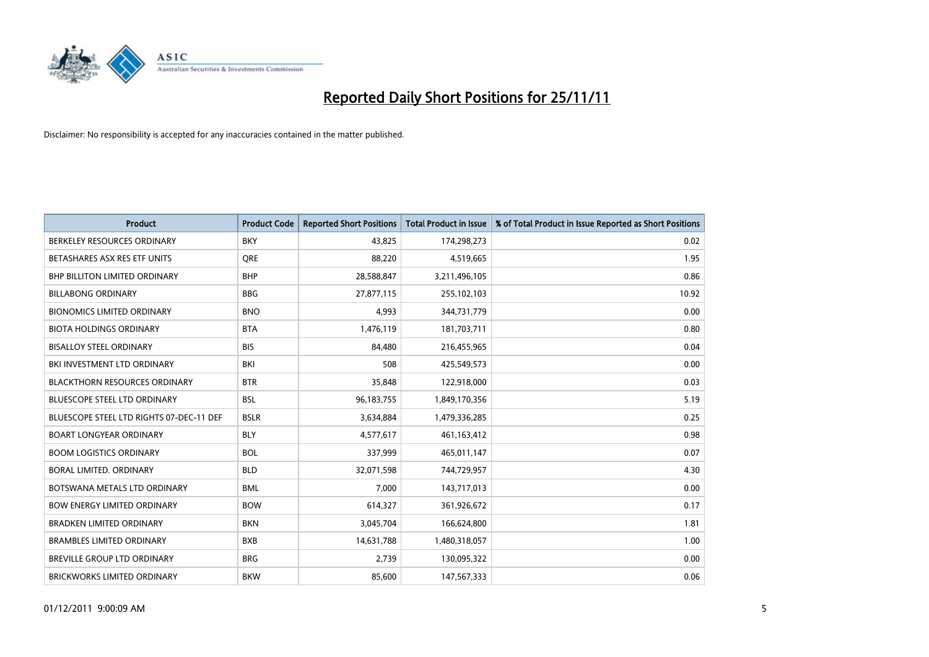

| <b>Product</b>                           | <b>Product Code</b> | <b>Reported Short Positions</b> | <b>Total Product in Issue</b> | % of Total Product in Issue Reported as Short Positions |
|------------------------------------------|---------------------|---------------------------------|-------------------------------|---------------------------------------------------------|
| BERKELEY RESOURCES ORDINARY              | <b>BKY</b>          | 43.825                          | 174,298,273                   | 0.02                                                    |
| BETASHARES ASX RES ETF UNITS             | <b>ORE</b>          | 88,220                          | 4,519,665                     | 1.95                                                    |
| <b>BHP BILLITON LIMITED ORDINARY</b>     | <b>BHP</b>          | 28,588,847                      | 3,211,496,105                 | 0.86                                                    |
| <b>BILLABONG ORDINARY</b>                | <b>BBG</b>          | 27,877,115                      | 255,102,103                   | 10.92                                                   |
| <b>BIONOMICS LIMITED ORDINARY</b>        | <b>BNO</b>          | 4,993                           | 344,731,779                   | 0.00                                                    |
| <b>BIOTA HOLDINGS ORDINARY</b>           | <b>BTA</b>          | 1,476,119                       | 181,703,711                   | 0.80                                                    |
| <b>BISALLOY STEEL ORDINARY</b>           | <b>BIS</b>          | 84,480                          | 216,455,965                   | 0.04                                                    |
| BKI INVESTMENT LTD ORDINARY              | <b>BKI</b>          | 508                             | 425,549,573                   | 0.00                                                    |
| <b>BLACKTHORN RESOURCES ORDINARY</b>     | <b>BTR</b>          | 35,848                          | 122,918,000                   | 0.03                                                    |
| <b>BLUESCOPE STEEL LTD ORDINARY</b>      | <b>BSL</b>          | 96,183,755                      | 1,849,170,356                 | 5.19                                                    |
| BLUESCOPE STEEL LTD RIGHTS 07-DEC-11 DEF | <b>BSLR</b>         | 3,634,884                       | 1,479,336,285                 | 0.25                                                    |
| <b>BOART LONGYEAR ORDINARY</b>           | <b>BLY</b>          | 4,577,617                       | 461,163,412                   | 0.98                                                    |
| <b>BOOM LOGISTICS ORDINARY</b>           | <b>BOL</b>          | 337,999                         | 465,011,147                   | 0.07                                                    |
| <b>BORAL LIMITED, ORDINARY</b>           | <b>BLD</b>          | 32,071,598                      | 744,729,957                   | 4.30                                                    |
| BOTSWANA METALS LTD ORDINARY             | <b>BML</b>          | 7,000                           | 143,717,013                   | 0.00                                                    |
| <b>BOW ENERGY LIMITED ORDINARY</b>       | <b>BOW</b>          | 614,327                         | 361,926,672                   | 0.17                                                    |
| <b>BRADKEN LIMITED ORDINARY</b>          | <b>BKN</b>          | 3,045,704                       | 166,624,800                   | 1.81                                                    |
| <b>BRAMBLES LIMITED ORDINARY</b>         | <b>BXB</b>          | 14,631,788                      | 1,480,318,057                 | 1.00                                                    |
| <b>BREVILLE GROUP LTD ORDINARY</b>       | <b>BRG</b>          | 2,739                           | 130,095,322                   | 0.00                                                    |
| BRICKWORKS LIMITED ORDINARY              | <b>BKW</b>          | 85,600                          | 147,567,333                   | 0.06                                                    |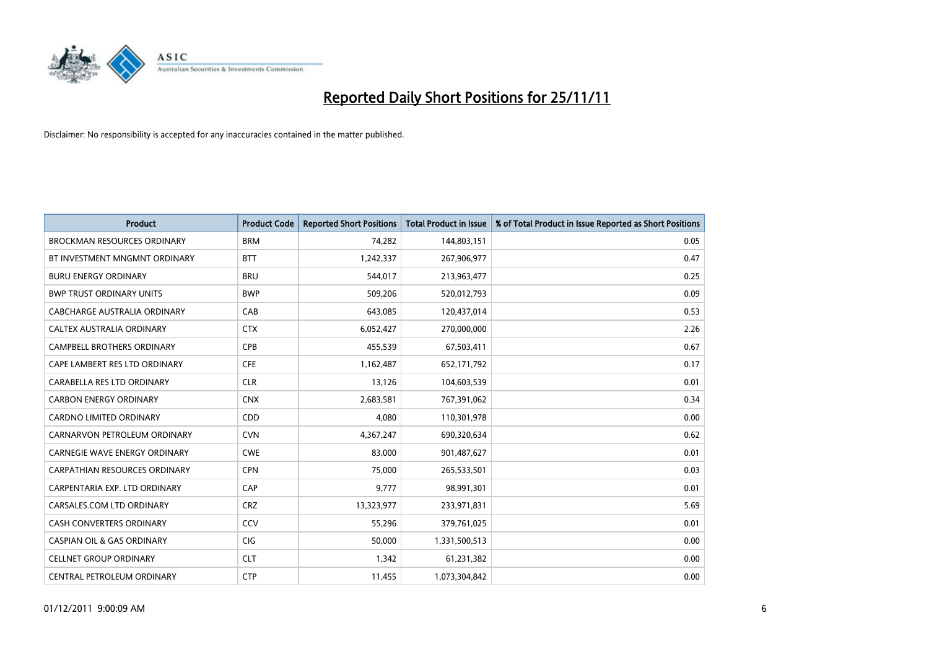

| <b>Product</b>                        | <b>Product Code</b> | <b>Reported Short Positions</b> | <b>Total Product in Issue</b> | % of Total Product in Issue Reported as Short Positions |
|---------------------------------------|---------------------|---------------------------------|-------------------------------|---------------------------------------------------------|
| <b>BROCKMAN RESOURCES ORDINARY</b>    | <b>BRM</b>          | 74,282                          | 144,803,151                   | 0.05                                                    |
| BT INVESTMENT MNGMNT ORDINARY         | <b>BTT</b>          | 1,242,337                       | 267,906,977                   | 0.47                                                    |
| <b>BURU ENERGY ORDINARY</b>           | <b>BRU</b>          | 544,017                         | 213,963,477                   | 0.25                                                    |
| <b>BWP TRUST ORDINARY UNITS</b>       | <b>BWP</b>          | 509,206                         | 520,012,793                   | 0.09                                                    |
| CABCHARGE AUSTRALIA ORDINARY          | CAB                 | 643,085                         | 120,437,014                   | 0.53                                                    |
| CALTEX AUSTRALIA ORDINARY             | <b>CTX</b>          | 6,052,427                       | 270,000,000                   | 2.26                                                    |
| <b>CAMPBELL BROTHERS ORDINARY</b>     | <b>CPB</b>          | 455,539                         | 67,503,411                    | 0.67                                                    |
| CAPE LAMBERT RES LTD ORDINARY         | <b>CFE</b>          | 1,162,487                       | 652,171,792                   | 0.17                                                    |
| CARABELLA RES LTD ORDINARY            | <b>CLR</b>          | 13,126                          | 104,603,539                   | 0.01                                                    |
| <b>CARBON ENERGY ORDINARY</b>         | <b>CNX</b>          | 2,683,581                       | 767,391,062                   | 0.34                                                    |
| <b>CARDNO LIMITED ORDINARY</b>        | <b>CDD</b>          | 4,080                           | 110,301,978                   | 0.00                                                    |
| CARNARVON PETROLEUM ORDINARY          | <b>CVN</b>          | 4,367,247                       | 690,320,634                   | 0.62                                                    |
| <b>CARNEGIE WAVE ENERGY ORDINARY</b>  | <b>CWE</b>          | 83,000                          | 901,487,627                   | 0.01                                                    |
| CARPATHIAN RESOURCES ORDINARY         | <b>CPN</b>          | 75,000                          | 265,533,501                   | 0.03                                                    |
| CARPENTARIA EXP. LTD ORDINARY         | CAP                 | 9,777                           | 98,991,301                    | 0.01                                                    |
| CARSALES.COM LTD ORDINARY             | <b>CRZ</b>          | 13,323,977                      | 233,971,831                   | 5.69                                                    |
| <b>CASH CONVERTERS ORDINARY</b>       | CCV                 | 55,296                          | 379,761,025                   | 0.01                                                    |
| <b>CASPIAN OIL &amp; GAS ORDINARY</b> | <b>CIG</b>          | 50,000                          | 1,331,500,513                 | 0.00                                                    |
| <b>CELLNET GROUP ORDINARY</b>         | <b>CLT</b>          | 1,342                           | 61,231,382                    | 0.00                                                    |
| CENTRAL PETROLEUM ORDINARY            | <b>CTP</b>          | 11,455                          | 1,073,304,842                 | 0.00                                                    |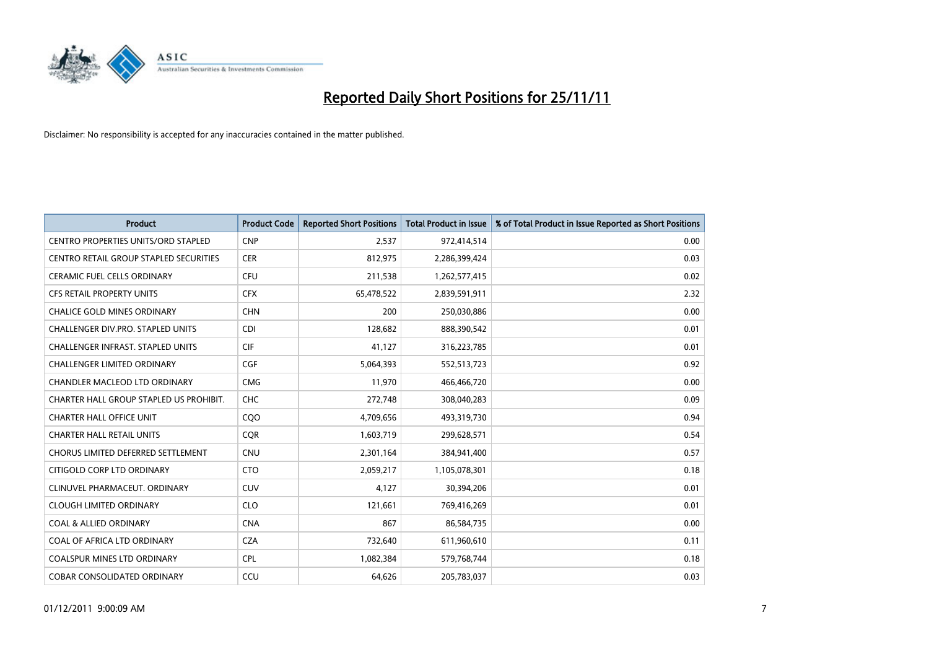

| <b>Product</b>                             | <b>Product Code</b> | <b>Reported Short Positions</b> | <b>Total Product in Issue</b> | % of Total Product in Issue Reported as Short Positions |
|--------------------------------------------|---------------------|---------------------------------|-------------------------------|---------------------------------------------------------|
| <b>CENTRO PROPERTIES UNITS/ORD STAPLED</b> | <b>CNP</b>          | 2,537                           | 972,414,514                   | 0.00                                                    |
| CENTRO RETAIL GROUP STAPLED SECURITIES     | <b>CER</b>          | 812,975                         | 2,286,399,424                 | 0.03                                                    |
| <b>CERAMIC FUEL CELLS ORDINARY</b>         | CFU                 | 211,538                         | 1,262,577,415                 | 0.02                                                    |
| CFS RETAIL PROPERTY UNITS                  | <b>CFX</b>          | 65,478,522                      | 2,839,591,911                 | 2.32                                                    |
| <b>CHALICE GOLD MINES ORDINARY</b>         | <b>CHN</b>          | 200                             | 250,030,886                   | 0.00                                                    |
| <b>CHALLENGER DIV.PRO. STAPLED UNITS</b>   | <b>CDI</b>          | 128,682                         | 888,390,542                   | 0.01                                                    |
| <b>CHALLENGER INFRAST, STAPLED UNITS</b>   | <b>CIF</b>          | 41,127                          | 316,223,785                   | 0.01                                                    |
| <b>CHALLENGER LIMITED ORDINARY</b>         | <b>CGF</b>          | 5,064,393                       | 552,513,723                   | 0.92                                                    |
| CHANDLER MACLEOD LTD ORDINARY              | <b>CMG</b>          | 11,970                          | 466,466,720                   | 0.00                                                    |
| CHARTER HALL GROUP STAPLED US PROHIBIT.    | <b>CHC</b>          | 272,748                         | 308,040,283                   | 0.09                                                    |
| <b>CHARTER HALL OFFICE UNIT</b>            | COO                 | 4,709,656                       | 493,319,730                   | 0.94                                                    |
| <b>CHARTER HALL RETAIL UNITS</b>           | <b>CQR</b>          | 1,603,719                       | 299,628,571                   | 0.54                                                    |
| CHORUS LIMITED DEFERRED SETTLEMENT         | <b>CNU</b>          | 2,301,164                       | 384,941,400                   | 0.57                                                    |
| CITIGOLD CORP LTD ORDINARY                 | <b>CTO</b>          | 2,059,217                       | 1,105,078,301                 | 0.18                                                    |
| CLINUVEL PHARMACEUT. ORDINARY              | <b>CUV</b>          | 4,127                           | 30,394,206                    | 0.01                                                    |
| <b>CLOUGH LIMITED ORDINARY</b>             | <b>CLO</b>          | 121,661                         | 769,416,269                   | 0.01                                                    |
| <b>COAL &amp; ALLIED ORDINARY</b>          | <b>CNA</b>          | 867                             | 86,584,735                    | 0.00                                                    |
| COAL OF AFRICA LTD ORDINARY                | <b>CZA</b>          | 732,640                         | 611,960,610                   | 0.11                                                    |
| <b>COALSPUR MINES LTD ORDINARY</b>         | <b>CPL</b>          | 1,082,384                       | 579,768,744                   | 0.18                                                    |
| <b>COBAR CONSOLIDATED ORDINARY</b>         | CCU                 | 64.626                          | 205,783,037                   | 0.03                                                    |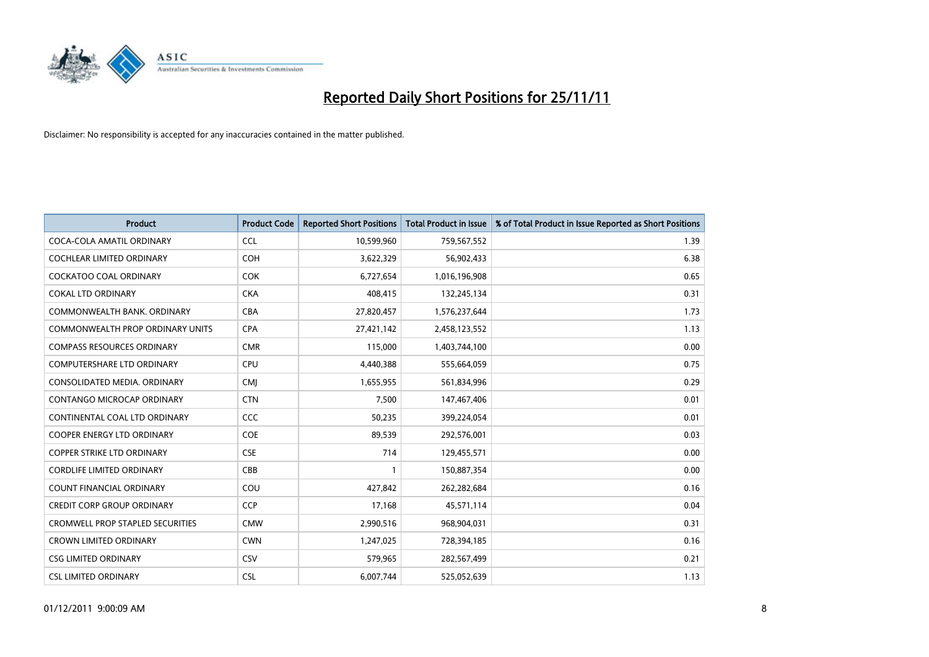

| <b>Product</b>                          | <b>Product Code</b> | <b>Reported Short Positions</b> | Total Product in Issue | % of Total Product in Issue Reported as Short Positions |
|-----------------------------------------|---------------------|---------------------------------|------------------------|---------------------------------------------------------|
| COCA-COLA AMATIL ORDINARY               | <b>CCL</b>          | 10,599,960                      | 759,567,552            | 1.39                                                    |
| COCHLEAR LIMITED ORDINARY               | <b>COH</b>          | 3,622,329                       | 56,902,433             | 6.38                                                    |
| <b>COCKATOO COAL ORDINARY</b>           | <b>COK</b>          | 6,727,654                       | 1,016,196,908          | 0.65                                                    |
| <b>COKAL LTD ORDINARY</b>               | <b>CKA</b>          | 408,415                         | 132,245,134            | 0.31                                                    |
| COMMONWEALTH BANK, ORDINARY             | <b>CBA</b>          | 27,820,457                      | 1,576,237,644          | 1.73                                                    |
| COMMONWEALTH PROP ORDINARY UNITS        | <b>CPA</b>          | 27,421,142                      | 2,458,123,552          | 1.13                                                    |
| <b>COMPASS RESOURCES ORDINARY</b>       | <b>CMR</b>          | 115,000                         | 1,403,744,100          | 0.00                                                    |
| <b>COMPUTERSHARE LTD ORDINARY</b>       | <b>CPU</b>          | 4,440,388                       | 555,664,059            | 0.75                                                    |
| CONSOLIDATED MEDIA. ORDINARY            | <b>CMI</b>          | 1,655,955                       | 561,834,996            | 0.29                                                    |
| <b>CONTANGO MICROCAP ORDINARY</b>       | <b>CTN</b>          | 7,500                           | 147,467,406            | 0.01                                                    |
| CONTINENTAL COAL LTD ORDINARY           | <b>CCC</b>          | 50,235                          | 399,224,054            | 0.01                                                    |
| <b>COOPER ENERGY LTD ORDINARY</b>       | <b>COE</b>          | 89,539                          | 292,576,001            | 0.03                                                    |
| <b>COPPER STRIKE LTD ORDINARY</b>       | <b>CSE</b>          | 714                             | 129,455,571            | 0.00                                                    |
| <b>CORDLIFE LIMITED ORDINARY</b>        | CBB                 |                                 | 150,887,354            | 0.00                                                    |
| <b>COUNT FINANCIAL ORDINARY</b>         | COU                 | 427,842                         | 262,282,684            | 0.16                                                    |
| <b>CREDIT CORP GROUP ORDINARY</b>       | <b>CCP</b>          | 17,168                          | 45,571,114             | 0.04                                                    |
| <b>CROMWELL PROP STAPLED SECURITIES</b> | <b>CMW</b>          | 2,990,516                       | 968,904,031            | 0.31                                                    |
| <b>CROWN LIMITED ORDINARY</b>           | <b>CWN</b>          | 1,247,025                       | 728,394,185            | 0.16                                                    |
| <b>CSG LIMITED ORDINARY</b>             | CSV                 | 579,965                         | 282,567,499            | 0.21                                                    |
| <b>CSL LIMITED ORDINARY</b>             | <b>CSL</b>          | 6.007.744                       | 525,052,639            | 1.13                                                    |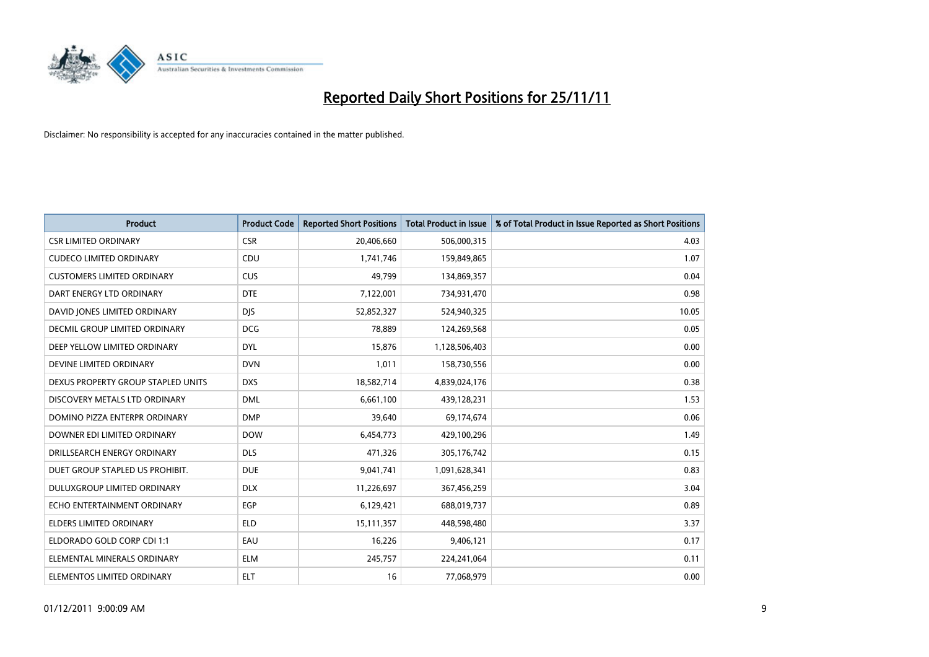

| <b>Product</b>                     | <b>Product Code</b> | <b>Reported Short Positions</b> | <b>Total Product in Issue</b> | % of Total Product in Issue Reported as Short Positions |
|------------------------------------|---------------------|---------------------------------|-------------------------------|---------------------------------------------------------|
| <b>CSR LIMITED ORDINARY</b>        | <b>CSR</b>          | 20,406,660                      | 506,000,315                   | 4.03                                                    |
| <b>CUDECO LIMITED ORDINARY</b>     | CDU                 | 1,741,746                       | 159,849,865                   | 1.07                                                    |
| <b>CUSTOMERS LIMITED ORDINARY</b>  | CUS                 | 49,799                          | 134,869,357                   | 0.04                                                    |
| DART ENERGY LTD ORDINARY           | <b>DTE</b>          | 7,122,001                       | 734,931,470                   | 0.98                                                    |
| DAVID JONES LIMITED ORDINARY       | <b>DIS</b>          | 52,852,327                      | 524,940,325                   | 10.05                                                   |
| DECMIL GROUP LIMITED ORDINARY      | <b>DCG</b>          | 78,889                          | 124,269,568                   | 0.05                                                    |
| DEEP YELLOW LIMITED ORDINARY       | <b>DYL</b>          | 15,876                          | 1,128,506,403                 | 0.00                                                    |
| DEVINE LIMITED ORDINARY            | <b>DVN</b>          | 1,011                           | 158,730,556                   | 0.00                                                    |
| DEXUS PROPERTY GROUP STAPLED UNITS | <b>DXS</b>          | 18,582,714                      | 4,839,024,176                 | 0.38                                                    |
| DISCOVERY METALS LTD ORDINARY      | <b>DML</b>          | 6,661,100                       | 439,128,231                   | 1.53                                                    |
| DOMINO PIZZA ENTERPR ORDINARY      | <b>DMP</b>          | 39,640                          | 69,174,674                    | 0.06                                                    |
| DOWNER EDI LIMITED ORDINARY        | <b>DOW</b>          | 6,454,773                       | 429,100,296                   | 1.49                                                    |
| DRILLSEARCH ENERGY ORDINARY        | <b>DLS</b>          | 471,326                         | 305,176,742                   | 0.15                                                    |
| DUET GROUP STAPLED US PROHIBIT.    | <b>DUE</b>          | 9,041,741                       | 1,091,628,341                 | 0.83                                                    |
| DULUXGROUP LIMITED ORDINARY        | <b>DLX</b>          | 11,226,697                      | 367,456,259                   | 3.04                                                    |
| ECHO ENTERTAINMENT ORDINARY        | <b>EGP</b>          | 6,129,421                       | 688,019,737                   | 0.89                                                    |
| ELDERS LIMITED ORDINARY            | <b>ELD</b>          | 15,111,357                      | 448,598,480                   | 3.37                                                    |
| ELDORADO GOLD CORP CDI 1:1         | EAU                 | 16,226                          | 9,406,121                     | 0.17                                                    |
| ELEMENTAL MINERALS ORDINARY        | <b>ELM</b>          | 245,757                         | 224,241,064                   | 0.11                                                    |
| ELEMENTOS LIMITED ORDINARY         | <b>ELT</b>          | 16                              | 77,068,979                    | 0.00                                                    |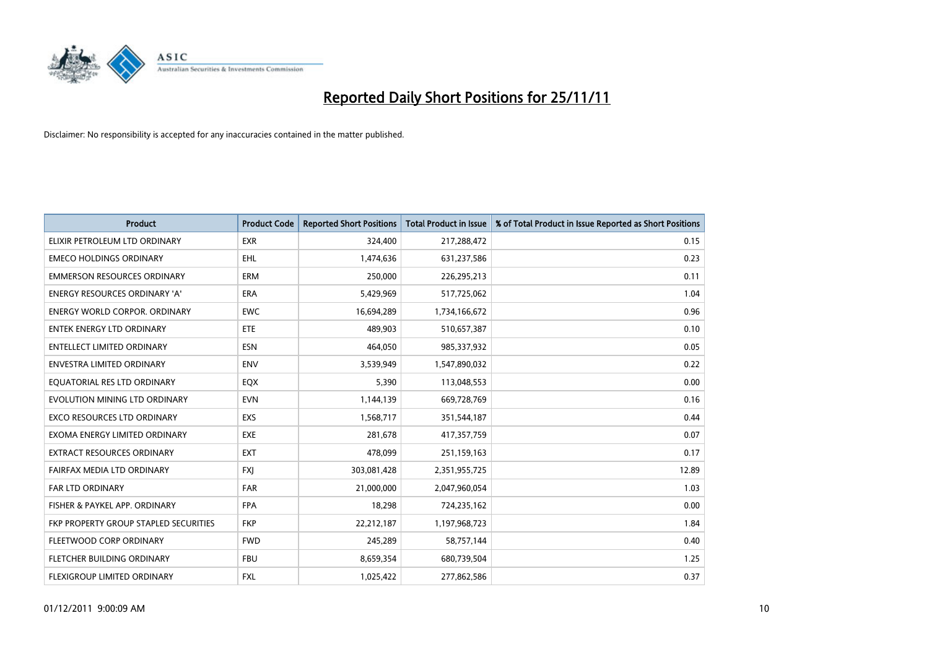

| <b>Product</b>                        | <b>Product Code</b> | <b>Reported Short Positions</b> | <b>Total Product in Issue</b> | % of Total Product in Issue Reported as Short Positions |
|---------------------------------------|---------------------|---------------------------------|-------------------------------|---------------------------------------------------------|
| ELIXIR PETROLEUM LTD ORDINARY         | <b>EXR</b>          | 324,400                         | 217,288,472                   | 0.15                                                    |
| <b>EMECO HOLDINGS ORDINARY</b>        | <b>EHL</b>          | 1,474,636                       | 631,237,586                   | 0.23                                                    |
| <b>EMMERSON RESOURCES ORDINARY</b>    | ERM                 | 250,000                         | 226,295,213                   | 0.11                                                    |
| ENERGY RESOURCES ORDINARY 'A'         | <b>ERA</b>          | 5,429,969                       | 517,725,062                   | 1.04                                                    |
| <b>ENERGY WORLD CORPOR, ORDINARY</b>  | <b>EWC</b>          | 16,694,289                      | 1,734,166,672                 | 0.96                                                    |
| <b>ENTEK ENERGY LTD ORDINARY</b>      | <b>ETE</b>          | 489,903                         | 510,657,387                   | 0.10                                                    |
| <b>ENTELLECT LIMITED ORDINARY</b>     | <b>ESN</b>          | 464.050                         | 985,337,932                   | 0.05                                                    |
| ENVESTRA LIMITED ORDINARY             | <b>ENV</b>          | 3,539,949                       | 1,547,890,032                 | 0.22                                                    |
| EQUATORIAL RES LTD ORDINARY           | <b>EQX</b>          | 5,390                           | 113,048,553                   | 0.00                                                    |
| EVOLUTION MINING LTD ORDINARY         | <b>EVN</b>          | 1,144,139                       | 669,728,769                   | 0.16                                                    |
| EXCO RESOURCES LTD ORDINARY           | <b>EXS</b>          | 1,568,717                       | 351,544,187                   | 0.44                                                    |
| EXOMA ENERGY LIMITED ORDINARY         | <b>EXE</b>          | 281,678                         | 417,357,759                   | 0.07                                                    |
| EXTRACT RESOURCES ORDINARY            | <b>EXT</b>          | 478,099                         | 251,159,163                   | 0.17                                                    |
| FAIRFAX MEDIA LTD ORDINARY            | <b>FXI</b>          | 303,081,428                     | 2,351,955,725                 | 12.89                                                   |
| <b>FAR LTD ORDINARY</b>               | <b>FAR</b>          | 21,000,000                      | 2,047,960,054                 | 1.03                                                    |
| FISHER & PAYKEL APP. ORDINARY         | <b>FPA</b>          | 18,298                          | 724,235,162                   | 0.00                                                    |
| FKP PROPERTY GROUP STAPLED SECURITIES | <b>FKP</b>          | 22,212,187                      | 1,197,968,723                 | 1.84                                                    |
| FLEETWOOD CORP ORDINARY               | <b>FWD</b>          | 245,289                         | 58,757,144                    | 0.40                                                    |
| FLETCHER BUILDING ORDINARY            | <b>FBU</b>          | 8,659,354                       | 680,739,504                   | 1.25                                                    |
| <b>FLEXIGROUP LIMITED ORDINARY</b>    | <b>FXL</b>          | 1,025,422                       | 277,862,586                   | 0.37                                                    |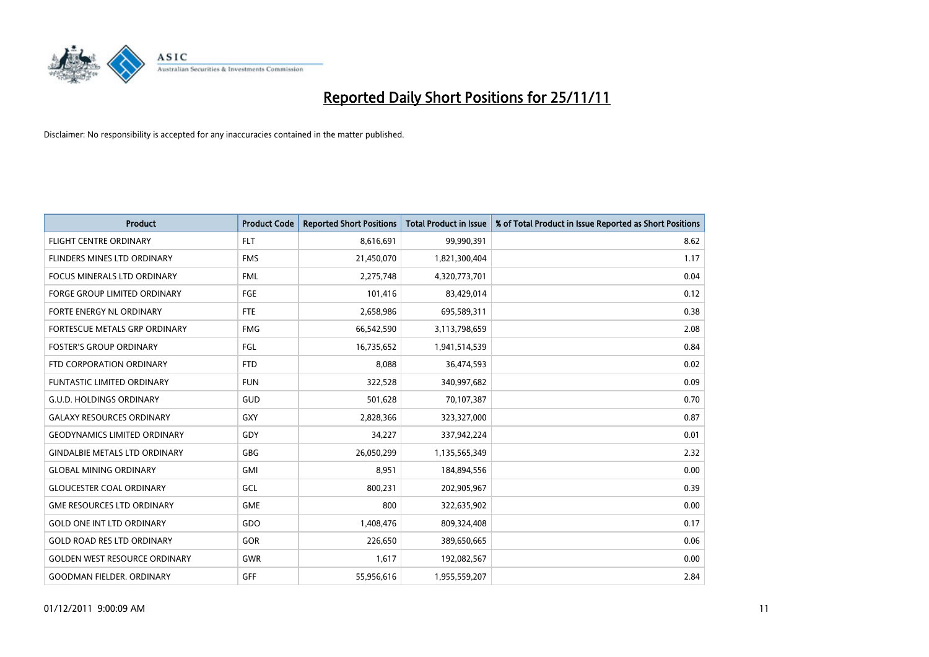

| <b>Product</b>                       | <b>Product Code</b> | <b>Reported Short Positions</b> | <b>Total Product in Issue</b> | % of Total Product in Issue Reported as Short Positions |
|--------------------------------------|---------------------|---------------------------------|-------------------------------|---------------------------------------------------------|
| <b>FLIGHT CENTRE ORDINARY</b>        | <b>FLT</b>          | 8,616,691                       | 99,990,391                    | 8.62                                                    |
| <b>FLINDERS MINES LTD ORDINARY</b>   | <b>FMS</b>          | 21,450,070                      | 1,821,300,404                 | 1.17                                                    |
| <b>FOCUS MINERALS LTD ORDINARY</b>   | <b>FML</b>          | 2,275,748                       | 4,320,773,701                 | 0.04                                                    |
| FORGE GROUP LIMITED ORDINARY         | FGE                 | 101,416                         | 83,429,014                    | 0.12                                                    |
| FORTE ENERGY NL ORDINARY             | <b>FTE</b>          | 2,658,986                       | 695,589,311                   | 0.38                                                    |
| <b>FORTESCUE METALS GRP ORDINARY</b> | <b>FMG</b>          | 66,542,590                      | 3,113,798,659                 | 2.08                                                    |
| <b>FOSTER'S GROUP ORDINARY</b>       | FGL                 | 16,735,652                      | 1,941,514,539                 | 0.84                                                    |
| FTD CORPORATION ORDINARY             | <b>FTD</b>          | 8,088                           | 36,474,593                    | 0.02                                                    |
| <b>FUNTASTIC LIMITED ORDINARY</b>    | <b>FUN</b>          | 322,528                         | 340,997,682                   | 0.09                                                    |
| <b>G.U.D. HOLDINGS ORDINARY</b>      | <b>GUD</b>          | 501,628                         | 70,107,387                    | 0.70                                                    |
| <b>GALAXY RESOURCES ORDINARY</b>     | GXY                 | 2,828,366                       | 323,327,000                   | 0.87                                                    |
| <b>GEODYNAMICS LIMITED ORDINARY</b>  | GDY                 | 34,227                          | 337,942,224                   | 0.01                                                    |
| <b>GINDALBIE METALS LTD ORDINARY</b> | <b>GBG</b>          | 26,050,299                      | 1,135,565,349                 | 2.32                                                    |
| <b>GLOBAL MINING ORDINARY</b>        | GMI                 | 8,951                           | 184,894,556                   | 0.00                                                    |
| <b>GLOUCESTER COAL ORDINARY</b>      | GCL                 | 800,231                         | 202,905,967                   | 0.39                                                    |
| <b>GME RESOURCES LTD ORDINARY</b>    | <b>GME</b>          | 800                             | 322,635,902                   | 0.00                                                    |
| <b>GOLD ONE INT LTD ORDINARY</b>     | GDO                 | 1,408,476                       | 809,324,408                   | 0.17                                                    |
| <b>GOLD ROAD RES LTD ORDINARY</b>    | GOR                 | 226,650                         | 389,650,665                   | 0.06                                                    |
| <b>GOLDEN WEST RESOURCE ORDINARY</b> | <b>GWR</b>          | 1,617                           | 192,082,567                   | 0.00                                                    |
| <b>GOODMAN FIELDER. ORDINARY</b>     | <b>GFF</b>          | 55,956,616                      | 1,955,559,207                 | 2.84                                                    |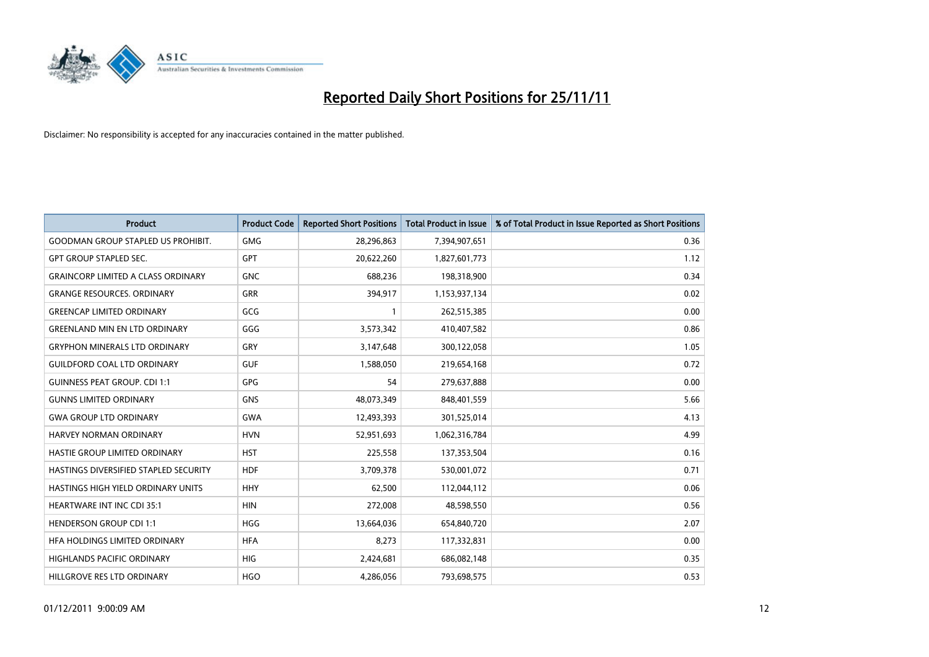

| <b>Product</b>                            | <b>Product Code</b> | <b>Reported Short Positions</b> | <b>Total Product in Issue</b> | % of Total Product in Issue Reported as Short Positions |
|-------------------------------------------|---------------------|---------------------------------|-------------------------------|---------------------------------------------------------|
| <b>GOODMAN GROUP STAPLED US PROHIBIT.</b> | <b>GMG</b>          | 28,296,863                      | 7,394,907,651                 | 0.36                                                    |
| <b>GPT GROUP STAPLED SEC.</b>             | <b>GPT</b>          | 20,622,260                      | 1,827,601,773                 | 1.12                                                    |
| <b>GRAINCORP LIMITED A CLASS ORDINARY</b> | <b>GNC</b>          | 688,236                         | 198,318,900                   | 0.34                                                    |
| <b>GRANGE RESOURCES. ORDINARY</b>         | <b>GRR</b>          | 394,917                         | 1,153,937,134                 | 0.02                                                    |
| <b>GREENCAP LIMITED ORDINARY</b>          | GCG                 |                                 | 262,515,385                   | 0.00                                                    |
| <b>GREENLAND MIN EN LTD ORDINARY</b>      | GGG                 | 3,573,342                       | 410,407,582                   | 0.86                                                    |
| <b>GRYPHON MINERALS LTD ORDINARY</b>      | GRY                 | 3,147,648                       | 300,122,058                   | 1.05                                                    |
| <b>GUILDFORD COAL LTD ORDINARY</b>        | <b>GUF</b>          | 1,588,050                       | 219,654,168                   | 0.72                                                    |
| <b>GUINNESS PEAT GROUP. CDI 1:1</b>       | <b>GPG</b>          | 54                              | 279,637,888                   | 0.00                                                    |
| <b>GUNNS LIMITED ORDINARY</b>             | <b>GNS</b>          | 48,073,349                      | 848,401,559                   | 5.66                                                    |
| <b>GWA GROUP LTD ORDINARY</b>             | <b>GWA</b>          | 12,493,393                      | 301,525,014                   | 4.13                                                    |
| HARVEY NORMAN ORDINARY                    | <b>HVN</b>          | 52,951,693                      | 1,062,316,784                 | 4.99                                                    |
| <b>HASTIE GROUP LIMITED ORDINARY</b>      | <b>HST</b>          | 225,558                         | 137,353,504                   | 0.16                                                    |
| HASTINGS DIVERSIFIED STAPLED SECURITY     | <b>HDF</b>          | 3,709,378                       | 530,001,072                   | 0.71                                                    |
| HASTINGS HIGH YIELD ORDINARY UNITS        | <b>HHY</b>          | 62,500                          | 112,044,112                   | 0.06                                                    |
| HEARTWARE INT INC CDI 35:1                | <b>HIN</b>          | 272,008                         | 48,598,550                    | 0.56                                                    |
| <b>HENDERSON GROUP CDI 1:1</b>            | <b>HGG</b>          | 13,664,036                      | 654,840,720                   | 2.07                                                    |
| HFA HOLDINGS LIMITED ORDINARY             | <b>HFA</b>          | 8,273                           | 117,332,831                   | 0.00                                                    |
| <b>HIGHLANDS PACIFIC ORDINARY</b>         | <b>HIG</b>          | 2,424,681                       | 686,082,148                   | 0.35                                                    |
| HILLGROVE RES LTD ORDINARY                | <b>HGO</b>          | 4.286.056                       | 793,698,575                   | 0.53                                                    |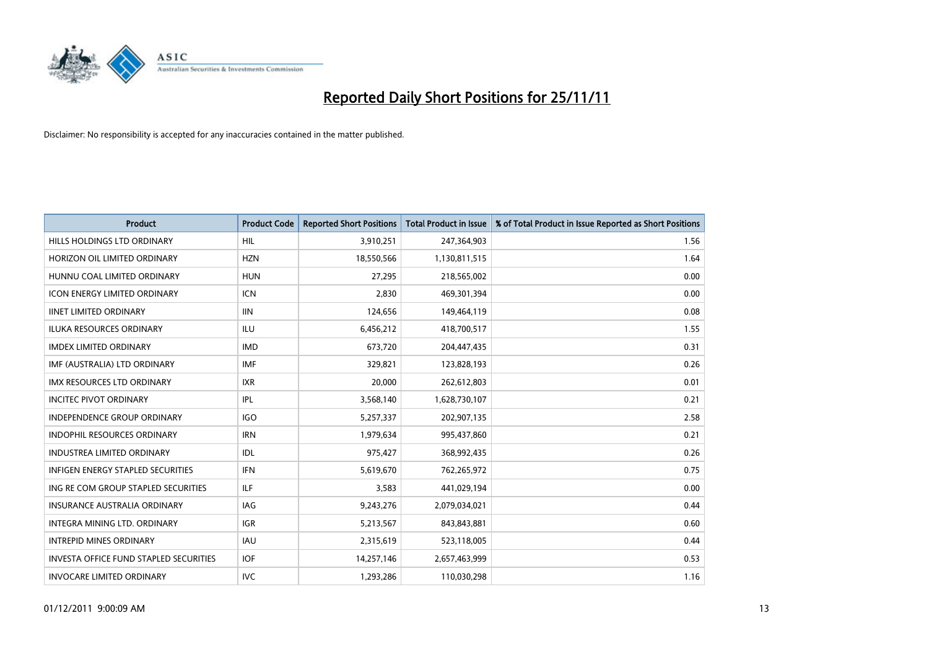

| <b>Product</b>                                | <b>Product Code</b> | <b>Reported Short Positions</b> | <b>Total Product in Issue</b> | % of Total Product in Issue Reported as Short Positions |
|-----------------------------------------------|---------------------|---------------------------------|-------------------------------|---------------------------------------------------------|
| HILLS HOLDINGS LTD ORDINARY                   | <b>HIL</b>          | 3,910,251                       | 247,364,903                   | 1.56                                                    |
| HORIZON OIL LIMITED ORDINARY                  | <b>HZN</b>          | 18,550,566                      | 1,130,811,515                 | 1.64                                                    |
| HUNNU COAL LIMITED ORDINARY                   | <b>HUN</b>          | 27,295                          | 218,565,002                   | 0.00                                                    |
| ICON ENERGY LIMITED ORDINARY                  | <b>ICN</b>          | 2,830                           | 469,301,394                   | 0.00                                                    |
| <b>IINET LIMITED ORDINARY</b>                 | <b>IIN</b>          | 124,656                         | 149,464,119                   | 0.08                                                    |
| <b>ILUKA RESOURCES ORDINARY</b>               | ILU                 | 6,456,212                       | 418,700,517                   | 1.55                                                    |
| <b>IMDEX LIMITED ORDINARY</b>                 | <b>IMD</b>          | 673,720                         | 204,447,435                   | 0.31                                                    |
| IMF (AUSTRALIA) LTD ORDINARY                  | <b>IMF</b>          | 329,821                         | 123,828,193                   | 0.26                                                    |
| <b>IMX RESOURCES LTD ORDINARY</b>             | <b>IXR</b>          | 20,000                          | 262,612,803                   | 0.01                                                    |
| <b>INCITEC PIVOT ORDINARY</b>                 | IPL                 | 3,568,140                       | 1,628,730,107                 | 0.21                                                    |
| <b>INDEPENDENCE GROUP ORDINARY</b>            | <b>IGO</b>          | 5,257,337                       | 202,907,135                   | 2.58                                                    |
| INDOPHIL RESOURCES ORDINARY                   | <b>IRN</b>          | 1,979,634                       | 995,437,860                   | 0.21                                                    |
| <b>INDUSTREA LIMITED ORDINARY</b>             | IDL                 | 975,427                         | 368,992,435                   | 0.26                                                    |
| <b>INFIGEN ENERGY STAPLED SECURITIES</b>      | <b>IFN</b>          | 5,619,670                       | 762,265,972                   | 0.75                                                    |
| ING RE COM GROUP STAPLED SECURITIES           | ILF.                | 3,583                           | 441,029,194                   | 0.00                                                    |
| <b>INSURANCE AUSTRALIA ORDINARY</b>           | IAG                 | 9,243,276                       | 2,079,034,021                 | 0.44                                                    |
| INTEGRA MINING LTD. ORDINARY                  | <b>IGR</b>          | 5,213,567                       | 843,843,881                   | 0.60                                                    |
| <b>INTREPID MINES ORDINARY</b>                | <b>IAU</b>          | 2,315,619                       | 523,118,005                   | 0.44                                                    |
| <b>INVESTA OFFICE FUND STAPLED SECURITIES</b> | <b>IOF</b>          | 14,257,146                      | 2,657,463,999                 | 0.53                                                    |
| <b>INVOCARE LIMITED ORDINARY</b>              | IVC                 | 1,293,286                       | 110,030,298                   | 1.16                                                    |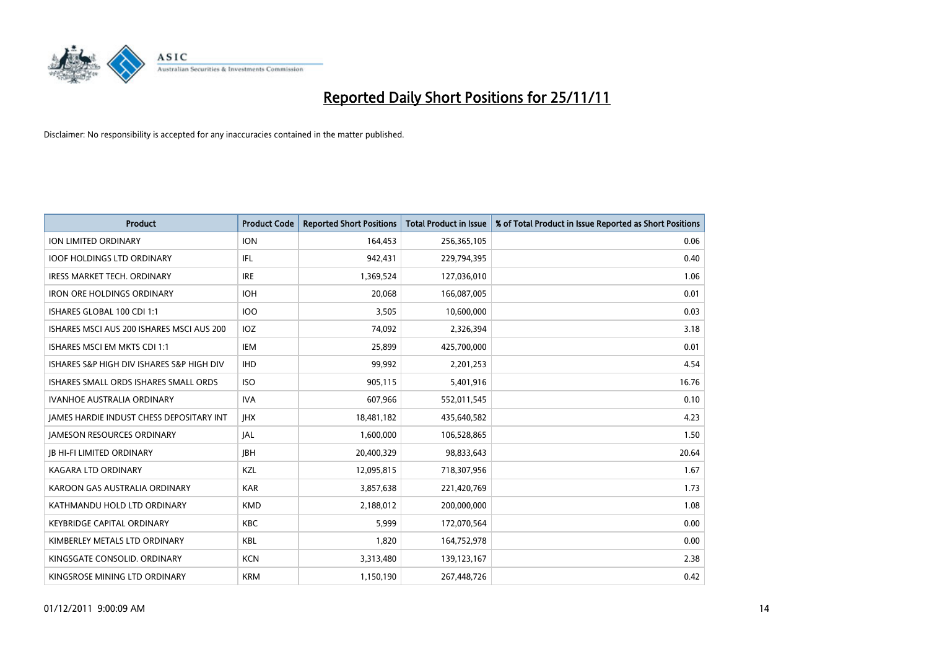

| <b>Product</b>                            | <b>Product Code</b> | <b>Reported Short Positions</b> | <b>Total Product in Issue</b> | % of Total Product in Issue Reported as Short Positions |
|-------------------------------------------|---------------------|---------------------------------|-------------------------------|---------------------------------------------------------|
| <b>ION LIMITED ORDINARY</b>               | <b>ION</b>          | 164,453                         | 256,365,105                   | 0.06                                                    |
| <b>IOOF HOLDINGS LTD ORDINARY</b>         | <b>IFL</b>          | 942,431                         | 229,794,395                   | 0.40                                                    |
| <b>IRESS MARKET TECH. ORDINARY</b>        | <b>IRE</b>          | 1,369,524                       | 127,036,010                   | 1.06                                                    |
| <b>IRON ORE HOLDINGS ORDINARY</b>         | <b>IOH</b>          | 20,068                          | 166,087,005                   | 0.01                                                    |
| ISHARES GLOBAL 100 CDI 1:1                | <b>IOO</b>          | 3,505                           | 10,600,000                    | 0.03                                                    |
| ISHARES MSCI AUS 200 ISHARES MSCI AUS 200 | <b>IOZ</b>          | 74,092                          | 2,326,394                     | 3.18                                                    |
| <b>ISHARES MSCI EM MKTS CDI 1:1</b>       | IEM                 | 25,899                          | 425,700,000                   | 0.01                                                    |
| ISHARES S&P HIGH DIV ISHARES S&P HIGH DIV | <b>IHD</b>          | 99,992                          | 2,201,253                     | 4.54                                                    |
| ISHARES SMALL ORDS ISHARES SMALL ORDS     | <b>ISO</b>          | 905,115                         | 5,401,916                     | 16.76                                                   |
| <b>IVANHOE AUSTRALIA ORDINARY</b>         | <b>IVA</b>          | 607,966                         | 552,011,545                   | 0.10                                                    |
| JAMES HARDIE INDUST CHESS DEPOSITARY INT  | <b>IHX</b>          | 18,481,182                      | 435,640,582                   | 4.23                                                    |
| <b>JAMESON RESOURCES ORDINARY</b>         | <b>JAL</b>          | 1,600,000                       | 106,528,865                   | 1.50                                                    |
| <b>IB HI-FI LIMITED ORDINARY</b>          | <b>IBH</b>          | 20,400,329                      | 98,833,643                    | 20.64                                                   |
| <b>KAGARA LTD ORDINARY</b>                | <b>KZL</b>          | 12,095,815                      | 718,307,956                   | 1.67                                                    |
| KAROON GAS AUSTRALIA ORDINARY             | <b>KAR</b>          | 3,857,638                       | 221,420,769                   | 1.73                                                    |
| KATHMANDU HOLD LTD ORDINARY               | <b>KMD</b>          | 2,188,012                       | 200,000,000                   | 1.08                                                    |
| <b>KEYBRIDGE CAPITAL ORDINARY</b>         | <b>KBC</b>          | 5,999                           | 172,070,564                   | 0.00                                                    |
| KIMBERLEY METALS LTD ORDINARY             | <b>KBL</b>          | 1,820                           | 164,752,978                   | 0.00                                                    |
| KINGSGATE CONSOLID. ORDINARY              | <b>KCN</b>          | 3,313,480                       | 139,123,167                   | 2.38                                                    |
| KINGSROSE MINING LTD ORDINARY             | <b>KRM</b>          | 1,150,190                       | 267,448,726                   | 0.42                                                    |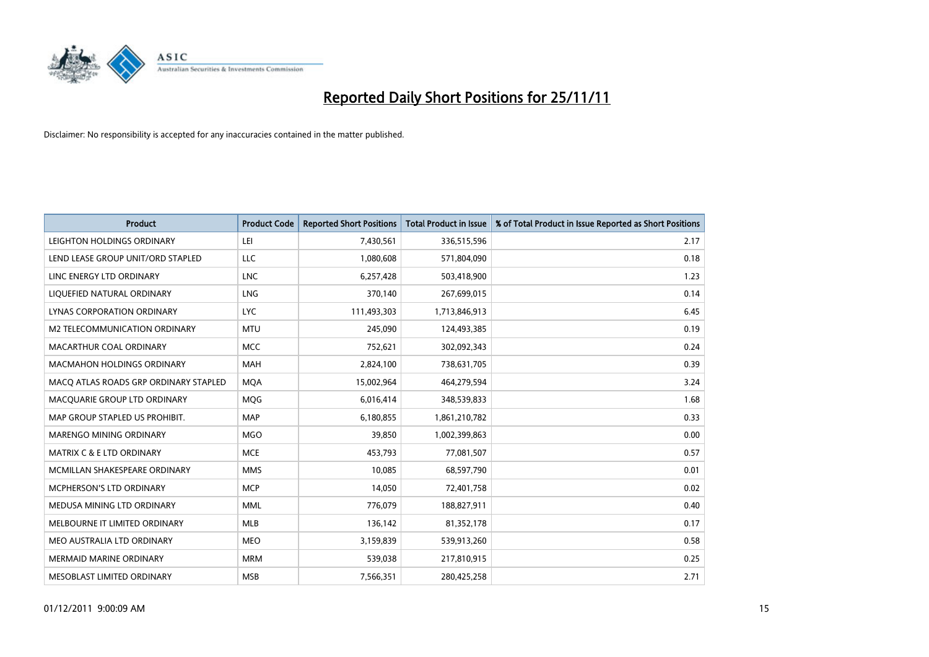

| <b>Product</b>                        | <b>Product Code</b> | <b>Reported Short Positions</b> | <b>Total Product in Issue</b> | % of Total Product in Issue Reported as Short Positions |
|---------------------------------------|---------------------|---------------------------------|-------------------------------|---------------------------------------------------------|
| LEIGHTON HOLDINGS ORDINARY            | LEI                 | 7,430,561                       | 336,515,596                   | 2.17                                                    |
| LEND LEASE GROUP UNIT/ORD STAPLED     | LLC                 | 1,080,608                       | 571,804,090                   | 0.18                                                    |
| LINC ENERGY LTD ORDINARY              | <b>LNC</b>          | 6,257,428                       | 503,418,900                   | 1.23                                                    |
| LIQUEFIED NATURAL ORDINARY            | <b>LNG</b>          | 370,140                         | 267,699,015                   | 0.14                                                    |
| <b>LYNAS CORPORATION ORDINARY</b>     | LYC.                | 111,493,303                     | 1,713,846,913                 | 6.45                                                    |
| M2 TELECOMMUNICATION ORDINARY         | <b>MTU</b>          | 245,090                         | 124,493,385                   | 0.19                                                    |
| MACARTHUR COAL ORDINARY               | <b>MCC</b>          | 752,621                         | 302,092,343                   | 0.24                                                    |
| MACMAHON HOLDINGS ORDINARY            | <b>MAH</b>          | 2,824,100                       | 738,631,705                   | 0.39                                                    |
| MACQ ATLAS ROADS GRP ORDINARY STAPLED | <b>MQA</b>          | 15,002,964                      | 464,279,594                   | 3.24                                                    |
| MACQUARIE GROUP LTD ORDINARY          | MQG                 | 6,016,414                       | 348,539,833                   | 1.68                                                    |
| MAP GROUP STAPLED US PROHIBIT.        | <b>MAP</b>          | 6,180,855                       | 1,861,210,782                 | 0.33                                                    |
| MARENGO MINING ORDINARY               | <b>MGO</b>          | 39,850                          | 1,002,399,863                 | 0.00                                                    |
| MATRIX C & E LTD ORDINARY             | <b>MCE</b>          | 453,793                         | 77,081,507                    | 0.57                                                    |
| MCMILLAN SHAKESPEARE ORDINARY         | <b>MMS</b>          | 10,085                          | 68,597,790                    | 0.01                                                    |
| MCPHERSON'S LTD ORDINARY              | <b>MCP</b>          | 14,050                          | 72,401,758                    | 0.02                                                    |
| MEDUSA MINING LTD ORDINARY            | <b>MML</b>          | 776,079                         | 188,827,911                   | 0.40                                                    |
| MELBOURNE IT LIMITED ORDINARY         | <b>MLB</b>          | 136,142                         | 81,352,178                    | 0.17                                                    |
| MEO AUSTRALIA LTD ORDINARY            | <b>MEO</b>          | 3,159,839                       | 539,913,260                   | 0.58                                                    |
| <b>MERMAID MARINE ORDINARY</b>        | <b>MRM</b>          | 539,038                         | 217,810,915                   | 0.25                                                    |
| MESOBLAST LIMITED ORDINARY            | <b>MSB</b>          | 7,566,351                       | 280,425,258                   | 2.71                                                    |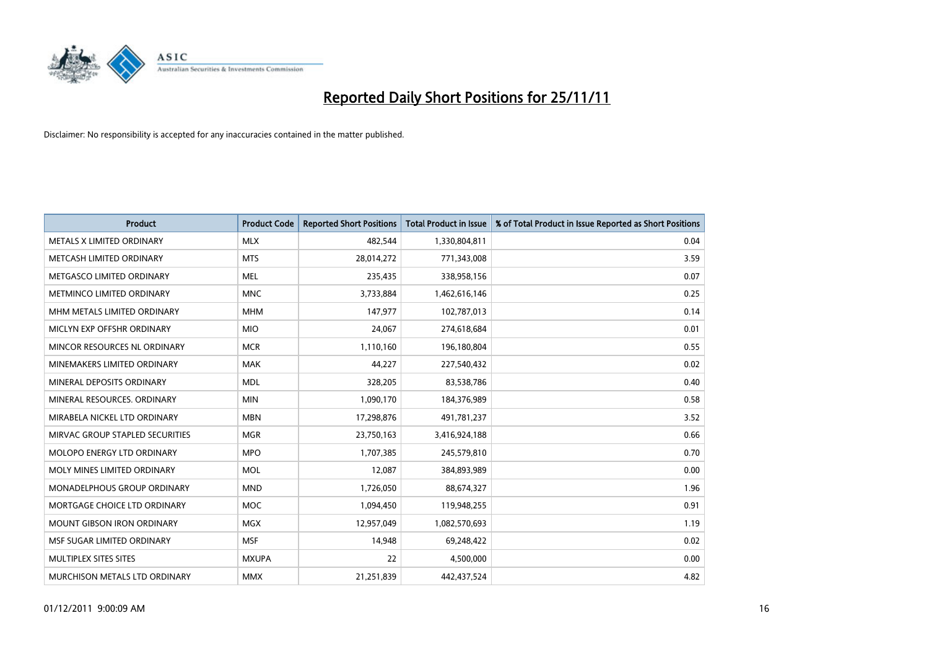

| <b>Product</b>                    | <b>Product Code</b> | <b>Reported Short Positions</b> | <b>Total Product in Issue</b> | % of Total Product in Issue Reported as Short Positions |
|-----------------------------------|---------------------|---------------------------------|-------------------------------|---------------------------------------------------------|
| METALS X LIMITED ORDINARY         | <b>MLX</b>          | 482,544                         | 1,330,804,811                 | 0.04                                                    |
| METCASH LIMITED ORDINARY          | <b>MTS</b>          | 28,014,272                      | 771,343,008                   | 3.59                                                    |
| METGASCO LIMITED ORDINARY         | <b>MEL</b>          | 235,435                         | 338,958,156                   | 0.07                                                    |
| METMINCO LIMITED ORDINARY         | <b>MNC</b>          | 3,733,884                       | 1,462,616,146                 | 0.25                                                    |
| MHM METALS LIMITED ORDINARY       | <b>MHM</b>          | 147,977                         | 102,787,013                   | 0.14                                                    |
| MICLYN EXP OFFSHR ORDINARY        | <b>MIO</b>          | 24,067                          | 274,618,684                   | 0.01                                                    |
| MINCOR RESOURCES NL ORDINARY      | <b>MCR</b>          | 1,110,160                       | 196,180,804                   | 0.55                                                    |
| MINEMAKERS LIMITED ORDINARY       | <b>MAK</b>          | 44.227                          | 227,540,432                   | 0.02                                                    |
| MINERAL DEPOSITS ORDINARY         | <b>MDL</b>          | 328,205                         | 83,538,786                    | 0.40                                                    |
| MINERAL RESOURCES, ORDINARY       | <b>MIN</b>          | 1,090,170                       | 184,376,989                   | 0.58                                                    |
| MIRABELA NICKEL LTD ORDINARY      | <b>MBN</b>          | 17,298,876                      | 491,781,237                   | 3.52                                                    |
| MIRVAC GROUP STAPLED SECURITIES   | <b>MGR</b>          | 23,750,163                      | 3,416,924,188                 | 0.66                                                    |
| <b>MOLOPO ENERGY LTD ORDINARY</b> | <b>MPO</b>          | 1,707,385                       | 245,579,810                   | 0.70                                                    |
| MOLY MINES LIMITED ORDINARY       | <b>MOL</b>          | 12,087                          | 384,893,989                   | 0.00                                                    |
| MONADELPHOUS GROUP ORDINARY       | <b>MND</b>          | 1,726,050                       | 88,674,327                    | 1.96                                                    |
| MORTGAGE CHOICE LTD ORDINARY      | <b>MOC</b>          | 1,094,450                       | 119,948,255                   | 0.91                                                    |
| MOUNT GIBSON IRON ORDINARY        | <b>MGX</b>          | 12,957,049                      | 1,082,570,693                 | 1.19                                                    |
| MSF SUGAR LIMITED ORDINARY        | <b>MSF</b>          | 14,948                          | 69,248,422                    | 0.02                                                    |
| MULTIPLEX SITES SITES             | <b>MXUPA</b>        | 22                              | 4,500,000                     | 0.00                                                    |
| MURCHISON METALS LTD ORDINARY     | <b>MMX</b>          | 21,251,839                      | 442,437,524                   | 4.82                                                    |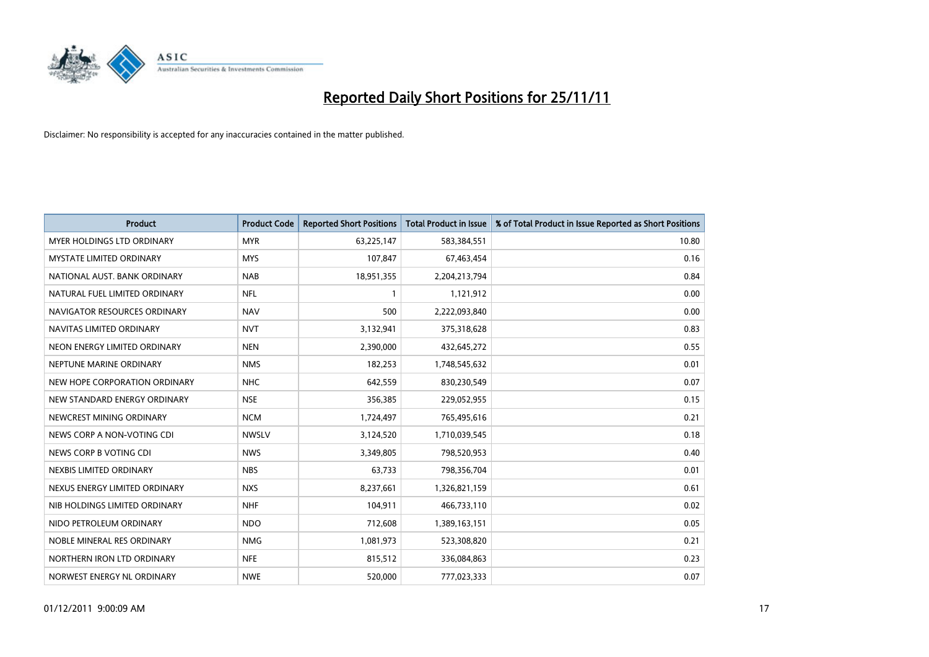

| <b>Product</b>                    | <b>Product Code</b> | <b>Reported Short Positions</b> | <b>Total Product in Issue</b> | % of Total Product in Issue Reported as Short Positions |
|-----------------------------------|---------------------|---------------------------------|-------------------------------|---------------------------------------------------------|
| <b>MYER HOLDINGS LTD ORDINARY</b> | <b>MYR</b>          | 63,225,147                      | 583,384,551                   | 10.80                                                   |
| MYSTATE LIMITED ORDINARY          | <b>MYS</b>          | 107,847                         | 67,463,454                    | 0.16                                                    |
| NATIONAL AUST. BANK ORDINARY      | <b>NAB</b>          | 18,951,355                      | 2,204,213,794                 | 0.84                                                    |
| NATURAL FUEL LIMITED ORDINARY     | <b>NFL</b>          | $\mathbf{1}$                    | 1,121,912                     | 0.00                                                    |
| NAVIGATOR RESOURCES ORDINARY      | <b>NAV</b>          | 500                             | 2,222,093,840                 | 0.00                                                    |
| NAVITAS LIMITED ORDINARY          | <b>NVT</b>          | 3,132,941                       | 375,318,628                   | 0.83                                                    |
| NEON ENERGY LIMITED ORDINARY      | <b>NEN</b>          | 2,390,000                       | 432,645,272                   | 0.55                                                    |
| NEPTUNE MARINE ORDINARY           | <b>NMS</b>          | 182,253                         | 1,748,545,632                 | 0.01                                                    |
| NEW HOPE CORPORATION ORDINARY     | <b>NHC</b>          | 642,559                         | 830,230,549                   | 0.07                                                    |
| NEW STANDARD ENERGY ORDINARY      | <b>NSE</b>          | 356,385                         | 229,052,955                   | 0.15                                                    |
| NEWCREST MINING ORDINARY          | <b>NCM</b>          | 1,724,497                       | 765,495,616                   | 0.21                                                    |
| NEWS CORP A NON-VOTING CDI        | <b>NWSLV</b>        | 3,124,520                       | 1,710,039,545                 | 0.18                                                    |
| NEWS CORP B VOTING CDI            | <b>NWS</b>          | 3,349,805                       | 798,520,953                   | 0.40                                                    |
| NEXBIS LIMITED ORDINARY           | <b>NBS</b>          | 63,733                          | 798,356,704                   | 0.01                                                    |
| NEXUS ENERGY LIMITED ORDINARY     | <b>NXS</b>          | 8,237,661                       | 1,326,821,159                 | 0.61                                                    |
| NIB HOLDINGS LIMITED ORDINARY     | <b>NHF</b>          | 104,911                         | 466,733,110                   | 0.02                                                    |
| NIDO PETROLEUM ORDINARY           | <b>NDO</b>          | 712,608                         | 1,389,163,151                 | 0.05                                                    |
| NOBLE MINERAL RES ORDINARY        | <b>NMG</b>          | 1,081,973                       | 523,308,820                   | 0.21                                                    |
| NORTHERN IRON LTD ORDINARY        | <b>NFE</b>          | 815,512                         | 336,084,863                   | 0.23                                                    |
| NORWEST ENERGY NL ORDINARY        | <b>NWE</b>          | 520,000                         | 777,023,333                   | 0.07                                                    |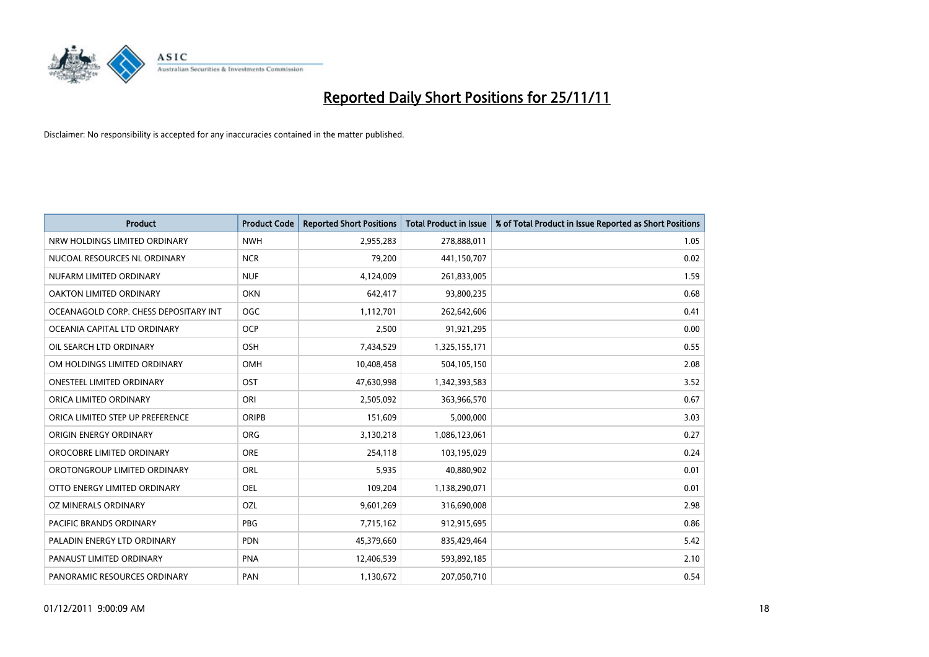

| <b>Product</b>                        | <b>Product Code</b> | <b>Reported Short Positions</b> | <b>Total Product in Issue</b> | % of Total Product in Issue Reported as Short Positions |
|---------------------------------------|---------------------|---------------------------------|-------------------------------|---------------------------------------------------------|
| NRW HOLDINGS LIMITED ORDINARY         | <b>NWH</b>          | 2,955,283                       | 278,888,011                   | 1.05                                                    |
| NUCOAL RESOURCES NL ORDINARY          | <b>NCR</b>          | 79,200                          | 441,150,707                   | 0.02                                                    |
| NUFARM LIMITED ORDINARY               | <b>NUF</b>          | 4,124,009                       | 261,833,005                   | 1.59                                                    |
| OAKTON LIMITED ORDINARY               | OKN                 | 642,417                         | 93,800,235                    | 0.68                                                    |
| OCEANAGOLD CORP. CHESS DEPOSITARY INT | <b>OGC</b>          | 1,112,701                       | 262,642,606                   | 0.41                                                    |
| OCEANIA CAPITAL LTD ORDINARY          | <b>OCP</b>          | 2,500                           | 91,921,295                    | 0.00                                                    |
| OIL SEARCH LTD ORDINARY               | OSH                 | 7,434,529                       | 1,325,155,171                 | 0.55                                                    |
| OM HOLDINGS LIMITED ORDINARY          | OMH                 | 10,408,458                      | 504,105,150                   | 2.08                                                    |
| ONESTEEL LIMITED ORDINARY             | OST                 | 47,630,998                      | 1,342,393,583                 | 3.52                                                    |
| ORICA LIMITED ORDINARY                | ORI                 | 2,505,092                       | 363,966,570                   | 0.67                                                    |
| ORICA LIMITED STEP UP PREFERENCE      | ORIPB               | 151,609                         | 5,000,000                     | 3.03                                                    |
| ORIGIN ENERGY ORDINARY                | <b>ORG</b>          | 3,130,218                       | 1,086,123,061                 | 0.27                                                    |
| OROCOBRE LIMITED ORDINARY             | <b>ORE</b>          | 254,118                         | 103,195,029                   | 0.24                                                    |
| OROTONGROUP LIMITED ORDINARY          | <b>ORL</b>          | 5,935                           | 40,880,902                    | 0.01                                                    |
| OTTO ENERGY LIMITED ORDINARY          | <b>OEL</b>          | 109,204                         | 1,138,290,071                 | 0.01                                                    |
| OZ MINERALS ORDINARY                  | OZL                 | 9,601,269                       | 316,690,008                   | 2.98                                                    |
| <b>PACIFIC BRANDS ORDINARY</b>        | <b>PBG</b>          | 7,715,162                       | 912,915,695                   | 0.86                                                    |
| PALADIN ENERGY LTD ORDINARY           | <b>PDN</b>          | 45,379,660                      | 835,429,464                   | 5.42                                                    |
| PANAUST LIMITED ORDINARY              | <b>PNA</b>          | 12,406,539                      | 593,892,185                   | 2.10                                                    |
| PANORAMIC RESOURCES ORDINARY          | PAN                 | 1,130,672                       | 207,050,710                   | 0.54                                                    |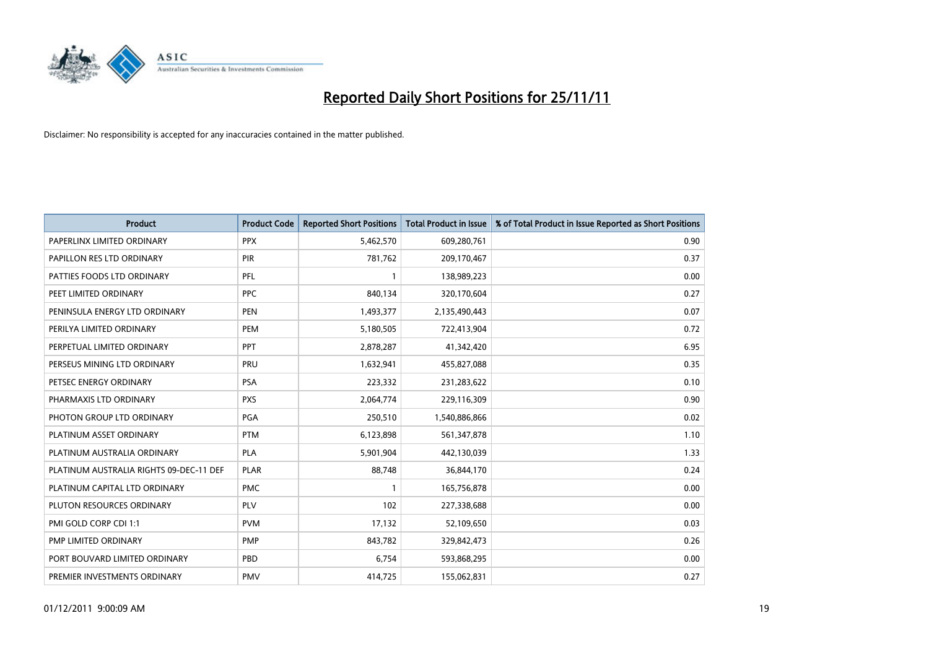

| <b>Product</b>                          | <b>Product Code</b> | <b>Reported Short Positions</b> | <b>Total Product in Issue</b> | % of Total Product in Issue Reported as Short Positions |
|-----------------------------------------|---------------------|---------------------------------|-------------------------------|---------------------------------------------------------|
| PAPERLINX LIMITED ORDINARY              | <b>PPX</b>          | 5,462,570                       | 609,280,761                   | 0.90                                                    |
| PAPILLON RES LTD ORDINARY               | PIR                 | 781,762                         | 209,170,467                   | 0.37                                                    |
| PATTIES FOODS LTD ORDINARY              | PFL                 |                                 | 138,989,223                   | 0.00                                                    |
| PEET LIMITED ORDINARY                   | <b>PPC</b>          | 840,134                         | 320,170,604                   | 0.27                                                    |
| PENINSULA ENERGY LTD ORDINARY           | <b>PEN</b>          | 1,493,377                       | 2,135,490,443                 | 0.07                                                    |
| PERILYA LIMITED ORDINARY                | PEM                 | 5,180,505                       | 722,413,904                   | 0.72                                                    |
| PERPETUAL LIMITED ORDINARY              | PPT                 | 2,878,287                       | 41,342,420                    | 6.95                                                    |
| PERSEUS MINING LTD ORDINARY             | PRU                 | 1,632,941                       | 455,827,088                   | 0.35                                                    |
| PETSEC ENERGY ORDINARY                  | <b>PSA</b>          | 223,332                         | 231,283,622                   | 0.10                                                    |
| PHARMAXIS LTD ORDINARY                  | <b>PXS</b>          | 2,064,774                       | 229,116,309                   | 0.90                                                    |
| PHOTON GROUP LTD ORDINARY               | PGA                 | 250,510                         | 1,540,886,866                 | 0.02                                                    |
| PLATINUM ASSET ORDINARY                 | <b>PTM</b>          | 6,123,898                       | 561,347,878                   | 1.10                                                    |
| PLATINUM AUSTRALIA ORDINARY             | <b>PLA</b>          | 5,901,904                       | 442,130,039                   | 1.33                                                    |
| PLATINUM AUSTRALIA RIGHTS 09-DEC-11 DEF | <b>PLAR</b>         | 88,748                          | 36,844,170                    | 0.24                                                    |
| PLATINUM CAPITAL LTD ORDINARY           | <b>PMC</b>          |                                 | 165,756,878                   | 0.00                                                    |
| PLUTON RESOURCES ORDINARY               | <b>PLV</b>          | 102                             | 227,338,688                   | 0.00                                                    |
| PMI GOLD CORP CDI 1:1                   | <b>PVM</b>          | 17,132                          | 52,109,650                    | 0.03                                                    |
| PMP LIMITED ORDINARY                    | <b>PMP</b>          | 843,782                         | 329,842,473                   | 0.26                                                    |
| PORT BOUVARD LIMITED ORDINARY           | PBD                 | 6,754                           | 593,868,295                   | 0.00                                                    |
| PREMIER INVESTMENTS ORDINARY            | <b>PMV</b>          | 414,725                         | 155,062,831                   | 0.27                                                    |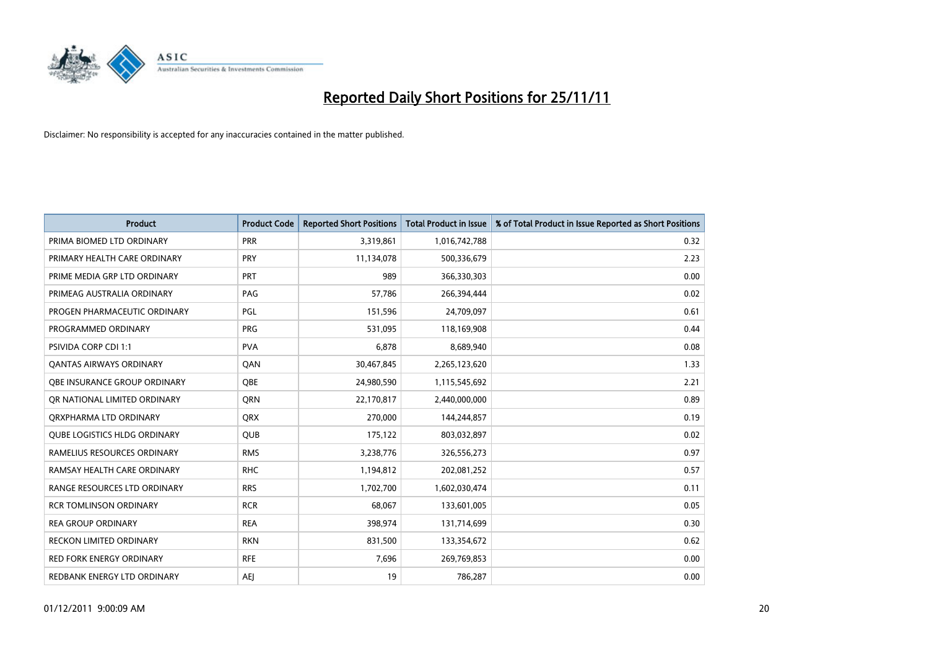

| <b>Product</b>                      | <b>Product Code</b> | <b>Reported Short Positions</b> | <b>Total Product in Issue</b> | % of Total Product in Issue Reported as Short Positions |
|-------------------------------------|---------------------|---------------------------------|-------------------------------|---------------------------------------------------------|
| PRIMA BIOMED LTD ORDINARY           | <b>PRR</b>          | 3,319,861                       | 1,016,742,788                 | 0.32                                                    |
| PRIMARY HEALTH CARE ORDINARY        | PRY                 | 11,134,078                      | 500,336,679                   | 2.23                                                    |
| PRIME MEDIA GRP LTD ORDINARY        | PRT                 | 989                             | 366,330,303                   | 0.00                                                    |
| PRIMEAG AUSTRALIA ORDINARY          | PAG                 | 57,786                          | 266,394,444                   | 0.02                                                    |
| PROGEN PHARMACEUTIC ORDINARY        | PGL                 | 151,596                         | 24,709,097                    | 0.61                                                    |
| PROGRAMMED ORDINARY                 | PRG                 | 531,095                         | 118,169,908                   | 0.44                                                    |
| <b>PSIVIDA CORP CDI 1:1</b>         | <b>PVA</b>          | 6,878                           | 8,689,940                     | 0.08                                                    |
| <b>QANTAS AIRWAYS ORDINARY</b>      | QAN                 | 30,467,845                      | 2,265,123,620                 | 1.33                                                    |
| <b>OBE INSURANCE GROUP ORDINARY</b> | <b>OBE</b>          | 24,980,590                      | 1,115,545,692                 | 2.21                                                    |
| OR NATIONAL LIMITED ORDINARY        | <b>ORN</b>          | 22,170,817                      | 2,440,000,000                 | 0.89                                                    |
| ORXPHARMA LTD ORDINARY              | <b>QRX</b>          | 270,000                         | 144,244,857                   | 0.19                                                    |
| QUBE LOGISTICS HLDG ORDINARY        | QUB                 | 175,122                         | 803,032,897                   | 0.02                                                    |
| RAMELIUS RESOURCES ORDINARY         | <b>RMS</b>          | 3,238,776                       | 326,556,273                   | 0.97                                                    |
| RAMSAY HEALTH CARE ORDINARY         | <b>RHC</b>          | 1,194,812                       | 202,081,252                   | 0.57                                                    |
| RANGE RESOURCES LTD ORDINARY        | <b>RRS</b>          | 1,702,700                       | 1,602,030,474                 | 0.11                                                    |
| <b>RCR TOMLINSON ORDINARY</b>       | <b>RCR</b>          | 68,067                          | 133,601,005                   | 0.05                                                    |
| <b>REA GROUP ORDINARY</b>           | <b>REA</b>          | 398,974                         | 131,714,699                   | 0.30                                                    |
| <b>RECKON LIMITED ORDINARY</b>      | <b>RKN</b>          | 831,500                         | 133,354,672                   | 0.62                                                    |
| <b>RED FORK ENERGY ORDINARY</b>     | <b>RFE</b>          | 7,696                           | 269,769,853                   | 0.00                                                    |
| REDBANK ENERGY LTD ORDINARY         | AEJ                 | 19                              | 786,287                       | 0.00                                                    |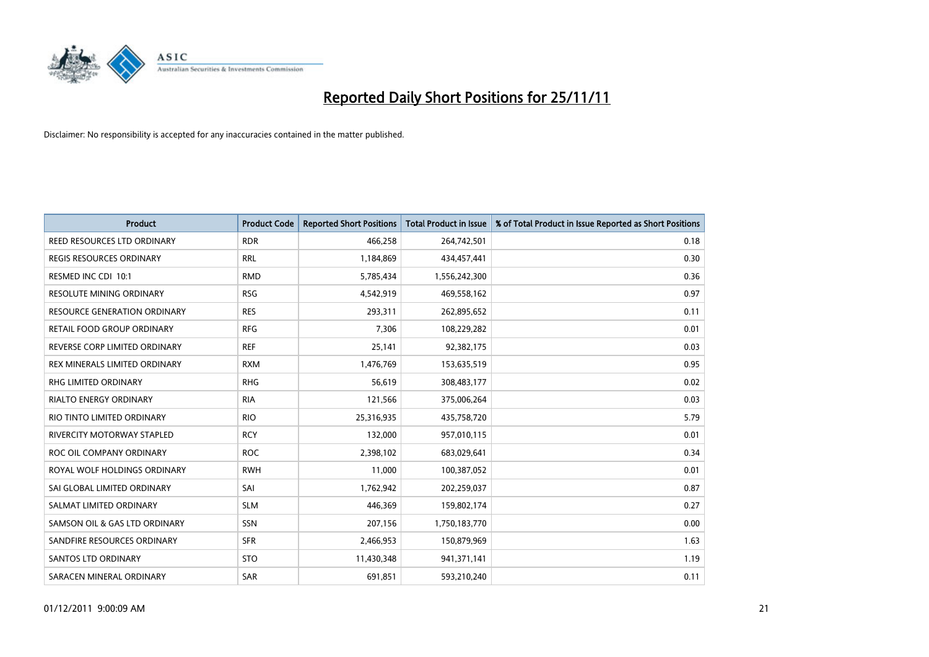

| <b>Product</b>                      | <b>Product Code</b> | <b>Reported Short Positions</b> | <b>Total Product in Issue</b> | % of Total Product in Issue Reported as Short Positions |
|-------------------------------------|---------------------|---------------------------------|-------------------------------|---------------------------------------------------------|
| REED RESOURCES LTD ORDINARY         | <b>RDR</b>          | 466,258                         | 264,742,501                   | 0.18                                                    |
| REGIS RESOURCES ORDINARY            | <b>RRL</b>          | 1,184,869                       | 434,457,441                   | 0.30                                                    |
| RESMED INC CDI 10:1                 | <b>RMD</b>          | 5,785,434                       | 1,556,242,300                 | 0.36                                                    |
| RESOLUTE MINING ORDINARY            | <b>RSG</b>          | 4,542,919                       | 469,558,162                   | 0.97                                                    |
| <b>RESOURCE GENERATION ORDINARY</b> | <b>RES</b>          | 293,311                         | 262,895,652                   | 0.11                                                    |
| RETAIL FOOD GROUP ORDINARY          | <b>RFG</b>          | 7,306                           | 108,229,282                   | 0.01                                                    |
| REVERSE CORP LIMITED ORDINARY       | <b>REF</b>          | 25,141                          | 92,382,175                    | 0.03                                                    |
| REX MINERALS LIMITED ORDINARY       | <b>RXM</b>          | 1,476,769                       | 153,635,519                   | 0.95                                                    |
| RHG LIMITED ORDINARY                | <b>RHG</b>          | 56,619                          | 308,483,177                   | 0.02                                                    |
| <b>RIALTO ENERGY ORDINARY</b>       | <b>RIA</b>          | 121,566                         | 375,006,264                   | 0.03                                                    |
| RIO TINTO LIMITED ORDINARY          | <b>RIO</b>          | 25,316,935                      | 435,758,720                   | 5.79                                                    |
| RIVERCITY MOTORWAY STAPLED          | <b>RCY</b>          | 132,000                         | 957,010,115                   | 0.01                                                    |
| ROC OIL COMPANY ORDINARY            | <b>ROC</b>          | 2,398,102                       | 683,029,641                   | 0.34                                                    |
| ROYAL WOLF HOLDINGS ORDINARY        | <b>RWH</b>          | 11,000                          | 100,387,052                   | 0.01                                                    |
| SAI GLOBAL LIMITED ORDINARY         | SAI                 | 1,762,942                       | 202,259,037                   | 0.87                                                    |
| SALMAT LIMITED ORDINARY             | <b>SLM</b>          | 446,369                         | 159,802,174                   | 0.27                                                    |
| SAMSON OIL & GAS LTD ORDINARY       | SSN                 | 207,156                         | 1,750,183,770                 | 0.00                                                    |
| SANDFIRE RESOURCES ORDINARY         | <b>SFR</b>          | 2,466,953                       | 150,879,969                   | 1.63                                                    |
| <b>SANTOS LTD ORDINARY</b>          | <b>STO</b>          | 11,430,348                      | 941,371,141                   | 1.19                                                    |
| SARACEN MINERAL ORDINARY            | SAR                 | 691,851                         | 593,210,240                   | 0.11                                                    |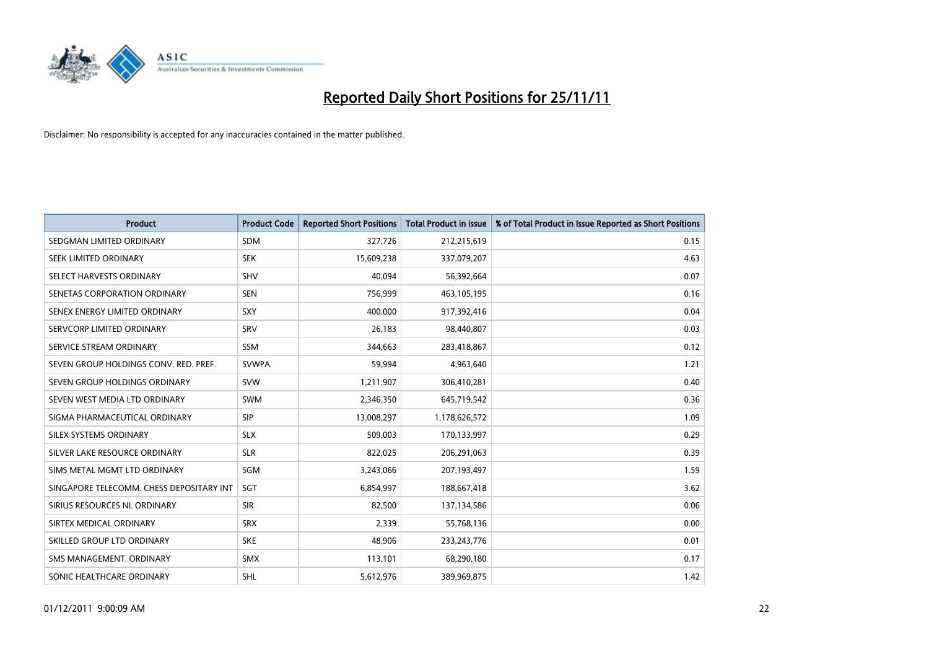

| <b>Product</b>                           | <b>Product Code</b> | <b>Reported Short Positions</b> | <b>Total Product in Issue</b> | % of Total Product in Issue Reported as Short Positions |
|------------------------------------------|---------------------|---------------------------------|-------------------------------|---------------------------------------------------------|
| SEDGMAN LIMITED ORDINARY                 | <b>SDM</b>          | 327,726                         | 212,215,619                   | 0.15                                                    |
| SEEK LIMITED ORDINARY                    | <b>SEK</b>          | 15,609,238                      | 337,079,207                   | 4.63                                                    |
| SELECT HARVESTS ORDINARY                 | <b>SHV</b>          | 40,094                          | 56,392,664                    | 0.07                                                    |
| SENETAS CORPORATION ORDINARY             | <b>SEN</b>          | 756,999                         | 463,105,195                   | 0.16                                                    |
| SENEX ENERGY LIMITED ORDINARY            | SXY                 | 400.000                         | 917,392,416                   | 0.04                                                    |
| SERVCORP LIMITED ORDINARY                | SRV                 | 26,183                          | 98,440,807                    | 0.03                                                    |
| SERVICE STREAM ORDINARY                  | <b>SSM</b>          | 344,663                         | 283,418,867                   | 0.12                                                    |
| SEVEN GROUP HOLDINGS CONV. RED. PREF.    | <b>SVWPA</b>        | 59,994                          | 4,963,640                     | 1.21                                                    |
| SEVEN GROUP HOLDINGS ORDINARY            | <b>SVW</b>          | 1,211,907                       | 306,410,281                   | 0.40                                                    |
| SEVEN WEST MEDIA LTD ORDINARY            | <b>SWM</b>          | 2,346,350                       | 645,719,542                   | 0.36                                                    |
| SIGMA PHARMACEUTICAL ORDINARY            | <b>SIP</b>          | 13,008,297                      | 1,178,626,572                 | 1.09                                                    |
| SILEX SYSTEMS ORDINARY                   | <b>SLX</b>          | 509,003                         | 170,133,997                   | 0.29                                                    |
| SILVER LAKE RESOURCE ORDINARY            | <b>SLR</b>          | 822,025                         | 206,291,063                   | 0.39                                                    |
| SIMS METAL MGMT LTD ORDINARY             | SGM                 | 3,243,066                       | 207,193,497                   | 1.59                                                    |
| SINGAPORE TELECOMM. CHESS DEPOSITARY INT | <b>SGT</b>          | 6,854,997                       | 188,667,418                   | 3.62                                                    |
| SIRIUS RESOURCES NL ORDINARY             | <b>SIR</b>          | 82,500                          | 137,134,586                   | 0.06                                                    |
| SIRTEX MEDICAL ORDINARY                  | <b>SRX</b>          | 2,339                           | 55,768,136                    | 0.00                                                    |
| SKILLED GROUP LTD ORDINARY               | <b>SKE</b>          | 48,906                          | 233, 243, 776                 | 0.01                                                    |
| SMS MANAGEMENT, ORDINARY                 | <b>SMX</b>          | 113,101                         | 68,290,180                    | 0.17                                                    |
| SONIC HEALTHCARE ORDINARY                | <b>SHL</b>          | 5,612,976                       | 389,969,875                   | 1.42                                                    |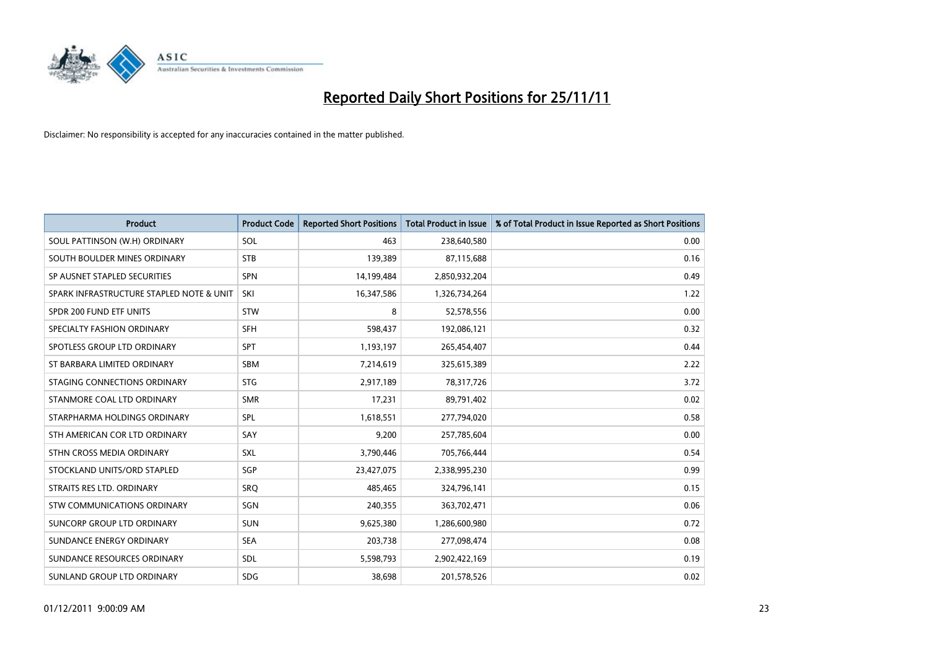

| <b>Product</b>                           | <b>Product Code</b> | <b>Reported Short Positions</b> | <b>Total Product in Issue</b> | % of Total Product in Issue Reported as Short Positions |
|------------------------------------------|---------------------|---------------------------------|-------------------------------|---------------------------------------------------------|
| SOUL PATTINSON (W.H) ORDINARY            | SOL                 | 463                             | 238,640,580                   | 0.00                                                    |
| SOUTH BOULDER MINES ORDINARY             | <b>STB</b>          | 139,389                         | 87,115,688                    | 0.16                                                    |
| SP AUSNET STAPLED SECURITIES             | <b>SPN</b>          | 14,199,484                      | 2,850,932,204                 | 0.49                                                    |
| SPARK INFRASTRUCTURE STAPLED NOTE & UNIT | SKI                 | 16,347,586                      | 1,326,734,264                 | 1.22                                                    |
| SPDR 200 FUND ETF UNITS                  | <b>STW</b>          | 8                               | 52,578,556                    | 0.00                                                    |
| SPECIALTY FASHION ORDINARY               | SFH                 | 598,437                         | 192,086,121                   | 0.32                                                    |
| SPOTLESS GROUP LTD ORDINARY              | <b>SPT</b>          | 1,193,197                       | 265,454,407                   | 0.44                                                    |
| ST BARBARA LIMITED ORDINARY              | <b>SBM</b>          | 7,214,619                       | 325,615,389                   | 2.22                                                    |
| STAGING CONNECTIONS ORDINARY             | <b>STG</b>          | 2,917,189                       | 78,317,726                    | 3.72                                                    |
| STANMORE COAL LTD ORDINARY               | <b>SMR</b>          | 17,231                          | 89,791,402                    | 0.02                                                    |
| STARPHARMA HOLDINGS ORDINARY             | SPL                 | 1,618,551                       | 277,794,020                   | 0.58                                                    |
| STH AMERICAN COR LTD ORDINARY            | SAY                 | 9,200                           | 257,785,604                   | 0.00                                                    |
| STHN CROSS MEDIA ORDINARY                | <b>SXL</b>          | 3,790,446                       | 705,766,444                   | 0.54                                                    |
| STOCKLAND UNITS/ORD STAPLED              | SGP                 | 23,427,075                      | 2,338,995,230                 | 0.99                                                    |
| STRAITS RES LTD. ORDINARY                | SRO                 | 485.465                         | 324,796,141                   | 0.15                                                    |
| STW COMMUNICATIONS ORDINARY              | SGN                 | 240,355                         | 363,702,471                   | 0.06                                                    |
| SUNCORP GROUP LTD ORDINARY               | <b>SUN</b>          | 9,625,380                       | 1,286,600,980                 | 0.72                                                    |
| SUNDANCE ENERGY ORDINARY                 | <b>SEA</b>          | 203,738                         | 277,098,474                   | 0.08                                                    |
| SUNDANCE RESOURCES ORDINARY              | <b>SDL</b>          | 5,598,793                       | 2,902,422,169                 | 0.19                                                    |
| SUNLAND GROUP LTD ORDINARY               | <b>SDG</b>          | 38.698                          | 201,578,526                   | 0.02                                                    |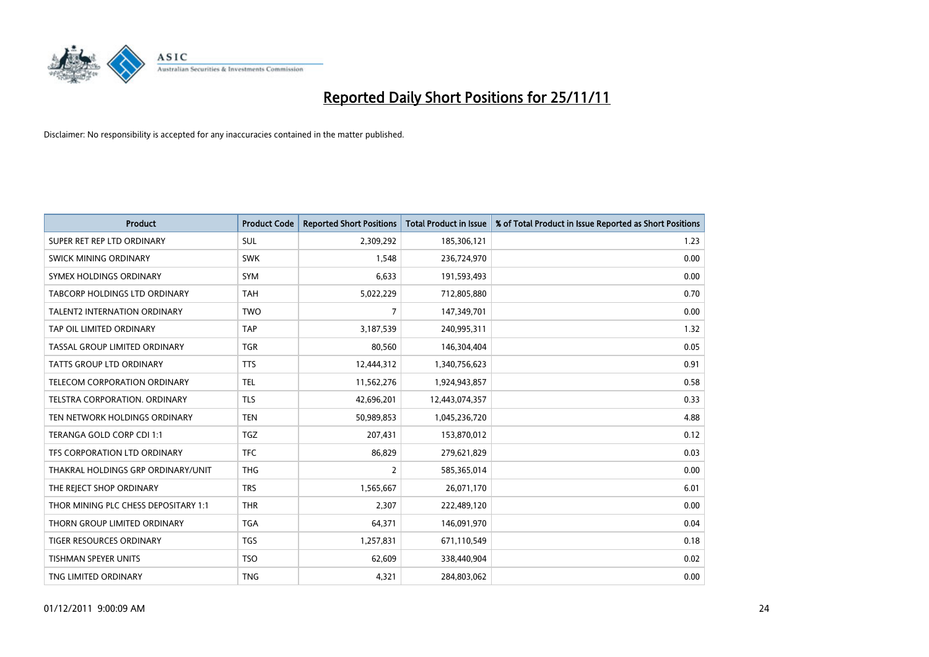

| <b>Product</b>                       | <b>Product Code</b> | <b>Reported Short Positions</b> | <b>Total Product in Issue</b> | % of Total Product in Issue Reported as Short Positions |
|--------------------------------------|---------------------|---------------------------------|-------------------------------|---------------------------------------------------------|
| SUPER RET REP LTD ORDINARY           | <b>SUL</b>          | 2,309,292                       | 185,306,121                   | 1.23                                                    |
| SWICK MINING ORDINARY                | <b>SWK</b>          | 1,548                           | 236,724,970                   | 0.00                                                    |
| <b>SYMEX HOLDINGS ORDINARY</b>       | <b>SYM</b>          | 6.633                           | 191,593,493                   | 0.00                                                    |
| TABCORP HOLDINGS LTD ORDINARY        | <b>TAH</b>          | 5,022,229                       | 712,805,880                   | 0.70                                                    |
| <b>TALENT2 INTERNATION ORDINARY</b>  | <b>TWO</b>          | 7                               | 147,349,701                   | 0.00                                                    |
| TAP OIL LIMITED ORDINARY             | <b>TAP</b>          | 3,187,539                       | 240,995,311                   | 1.32                                                    |
| TASSAL GROUP LIMITED ORDINARY        | <b>TGR</b>          | 80,560                          | 146,304,404                   | 0.05                                                    |
| TATTS GROUP LTD ORDINARY             | <b>TTS</b>          | 12,444,312                      | 1,340,756,623                 | 0.91                                                    |
| TELECOM CORPORATION ORDINARY         | <b>TEL</b>          | 11,562,276                      | 1,924,943,857                 | 0.58                                                    |
| TELSTRA CORPORATION, ORDINARY        | <b>TLS</b>          | 42,696,201                      | 12,443,074,357                | 0.33                                                    |
| TEN NETWORK HOLDINGS ORDINARY        | <b>TEN</b>          | 50,989,853                      | 1,045,236,720                 | 4.88                                                    |
| TERANGA GOLD CORP CDI 1:1            | <b>TGZ</b>          | 207,431                         | 153,870,012                   | 0.12                                                    |
| TFS CORPORATION LTD ORDINARY         | <b>TFC</b>          | 86,829                          | 279,621,829                   | 0.03                                                    |
| THAKRAL HOLDINGS GRP ORDINARY/UNIT   | <b>THG</b>          | 2                               | 585,365,014                   | 0.00                                                    |
| THE REJECT SHOP ORDINARY             | <b>TRS</b>          | 1,565,667                       | 26,071,170                    | 6.01                                                    |
| THOR MINING PLC CHESS DEPOSITARY 1:1 | <b>THR</b>          | 2,307                           | 222,489,120                   | 0.00                                                    |
| THORN GROUP LIMITED ORDINARY         | <b>TGA</b>          | 64,371                          | 146,091,970                   | 0.04                                                    |
| TIGER RESOURCES ORDINARY             | <b>TGS</b>          | 1,257,831                       | 671,110,549                   | 0.18                                                    |
| <b>TISHMAN SPEYER UNITS</b>          | <b>TSO</b>          | 62,609                          | 338,440,904                   | 0.02                                                    |
| TNG LIMITED ORDINARY                 | <b>TNG</b>          | 4,321                           | 284,803,062                   | 0.00                                                    |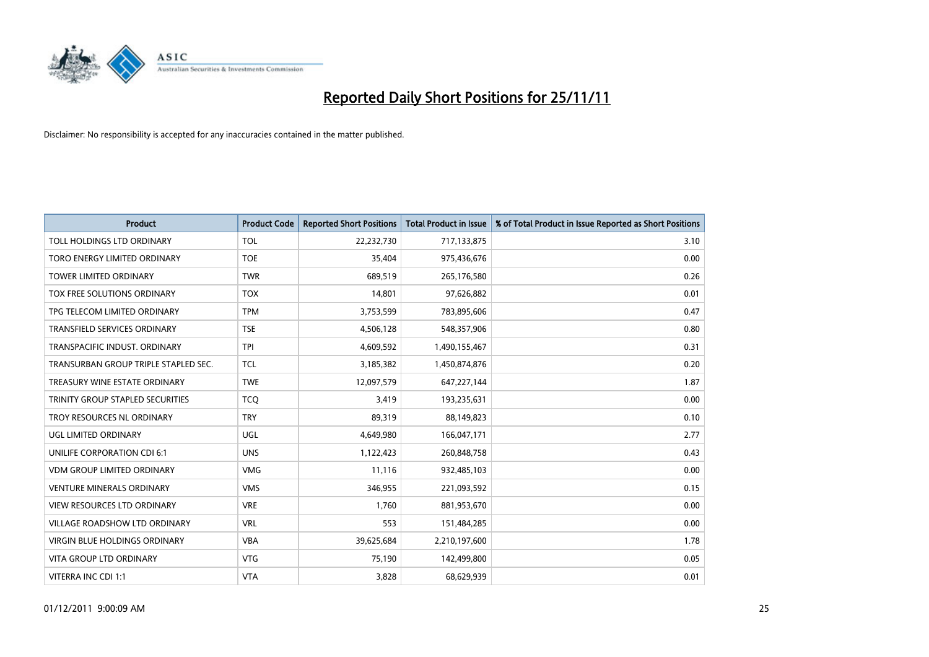

| <b>Product</b>                       | <b>Product Code</b> | <b>Reported Short Positions</b> | <b>Total Product in Issue</b> | % of Total Product in Issue Reported as Short Positions |
|--------------------------------------|---------------------|---------------------------------|-------------------------------|---------------------------------------------------------|
| TOLL HOLDINGS LTD ORDINARY           | <b>TOL</b>          | 22,232,730                      | 717,133,875                   | 3.10                                                    |
| TORO ENERGY LIMITED ORDINARY         | <b>TOE</b>          | 35,404                          | 975,436,676                   | 0.00                                                    |
| <b>TOWER LIMITED ORDINARY</b>        | <b>TWR</b>          | 689,519                         | 265,176,580                   | 0.26                                                    |
| TOX FREE SOLUTIONS ORDINARY          | <b>TOX</b>          | 14,801                          | 97,626,882                    | 0.01                                                    |
| TPG TELECOM LIMITED ORDINARY         | <b>TPM</b>          | 3,753,599                       | 783,895,606                   | 0.47                                                    |
| <b>TRANSFIELD SERVICES ORDINARY</b>  | <b>TSE</b>          | 4,506,128                       | 548,357,906                   | 0.80                                                    |
| TRANSPACIFIC INDUST, ORDINARY        | <b>TPI</b>          | 4,609,592                       | 1,490,155,467                 | 0.31                                                    |
| TRANSURBAN GROUP TRIPLE STAPLED SEC. | <b>TCL</b>          | 3,185,382                       | 1,450,874,876                 | 0.20                                                    |
| TREASURY WINE ESTATE ORDINARY        | <b>TWE</b>          | 12,097,579                      | 647,227,144                   | 1.87                                                    |
| TRINITY GROUP STAPLED SECURITIES     | <b>TCO</b>          | 3,419                           | 193,235,631                   | 0.00                                                    |
| TROY RESOURCES NL ORDINARY           | <b>TRY</b>          | 89,319                          | 88,149,823                    | 0.10                                                    |
| UGL LIMITED ORDINARY                 | UGL                 | 4,649,980                       | 166,047,171                   | 2.77                                                    |
| UNILIFE CORPORATION CDI 6:1          | <b>UNS</b>          | 1,122,423                       | 260,848,758                   | 0.43                                                    |
| <b>VDM GROUP LIMITED ORDINARY</b>    | <b>VMG</b>          | 11,116                          | 932,485,103                   | 0.00                                                    |
| <b>VENTURE MINERALS ORDINARY</b>     | <b>VMS</b>          | 346,955                         | 221,093,592                   | 0.15                                                    |
| VIEW RESOURCES LTD ORDINARY          | <b>VRE</b>          | 1,760                           | 881,953,670                   | 0.00                                                    |
| VILLAGE ROADSHOW LTD ORDINARY        | <b>VRL</b>          | 553                             | 151,484,285                   | 0.00                                                    |
| VIRGIN BLUE HOLDINGS ORDINARY        | <b>VBA</b>          | 39,625,684                      | 2,210,197,600                 | 1.78                                                    |
| <b>VITA GROUP LTD ORDINARY</b>       | <b>VTG</b>          | 75,190                          | 142,499,800                   | 0.05                                                    |
| VITERRA INC CDI 1:1                  | <b>VTA</b>          | 3,828                           | 68,629,939                    | 0.01                                                    |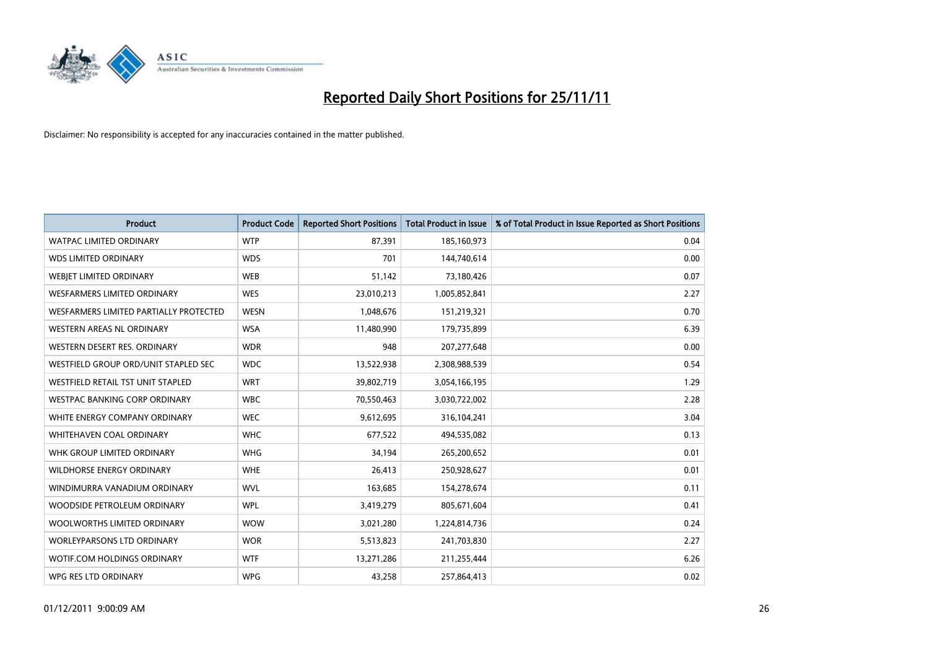

| <b>Product</b>                                | <b>Product Code</b> | <b>Reported Short Positions</b> | <b>Total Product in Issue</b> | % of Total Product in Issue Reported as Short Positions |
|-----------------------------------------------|---------------------|---------------------------------|-------------------------------|---------------------------------------------------------|
| <b>WATPAC LIMITED ORDINARY</b>                | <b>WTP</b>          | 87,391                          | 185,160,973                   | 0.04                                                    |
| <b>WDS LIMITED ORDINARY</b>                   | <b>WDS</b>          | 701                             | 144,740,614                   | 0.00                                                    |
| WEBIET LIMITED ORDINARY                       | <b>WEB</b>          | 51,142                          | 73,180,426                    | 0.07                                                    |
| <b>WESFARMERS LIMITED ORDINARY</b>            | <b>WES</b>          | 23,010,213                      | 1,005,852,841                 | 2.27                                                    |
| <b>WESFARMERS LIMITED PARTIALLY PROTECTED</b> | <b>WESN</b>         | 1,048,676                       | 151,219,321                   | 0.70                                                    |
| <b>WESTERN AREAS NL ORDINARY</b>              | <b>WSA</b>          | 11,480,990                      | 179,735,899                   | 6.39                                                    |
| WESTERN DESERT RES. ORDINARY                  | <b>WDR</b>          | 948                             | 207, 277, 648                 | 0.00                                                    |
| WESTFIELD GROUP ORD/UNIT STAPLED SEC          | <b>WDC</b>          | 13,522,938                      | 2,308,988,539                 | 0.54                                                    |
| WESTFIELD RETAIL TST UNIT STAPLED             | <b>WRT</b>          | 39,802,719                      | 3,054,166,195                 | 1.29                                                    |
| <b>WESTPAC BANKING CORP ORDINARY</b>          | <b>WBC</b>          | 70,550,463                      | 3,030,722,002                 | 2.28                                                    |
| WHITE ENERGY COMPANY ORDINARY                 | <b>WEC</b>          | 9,612,695                       | 316,104,241                   | 3.04                                                    |
| <b>WHITEHAVEN COAL ORDINARY</b>               | <b>WHC</b>          | 677,522                         | 494,535,082                   | 0.13                                                    |
| WHK GROUP LIMITED ORDINARY                    | <b>WHG</b>          | 34,194                          | 265,200,652                   | 0.01                                                    |
| <b>WILDHORSE ENERGY ORDINARY</b>              | <b>WHE</b>          | 26,413                          | 250,928,627                   | 0.01                                                    |
| WINDIMURRA VANADIUM ORDINARY                  | <b>WVL</b>          | 163,685                         | 154,278,674                   | 0.11                                                    |
| WOODSIDE PETROLEUM ORDINARY                   | <b>WPL</b>          | 3,419,279                       | 805,671,604                   | 0.41                                                    |
| WOOLWORTHS LIMITED ORDINARY                   | <b>WOW</b>          | 3,021,280                       | 1,224,814,736                 | 0.24                                                    |
| WORLEYPARSONS LTD ORDINARY                    | <b>WOR</b>          | 5,513,823                       | 241,703,830                   | 2.27                                                    |
| <b>WOTIF.COM HOLDINGS ORDINARY</b>            | <b>WTF</b>          | 13,271,286                      | 211,255,444                   | 6.26                                                    |
| WPG RES LTD ORDINARY                          | <b>WPG</b>          | 43,258                          | 257,864,413                   | 0.02                                                    |